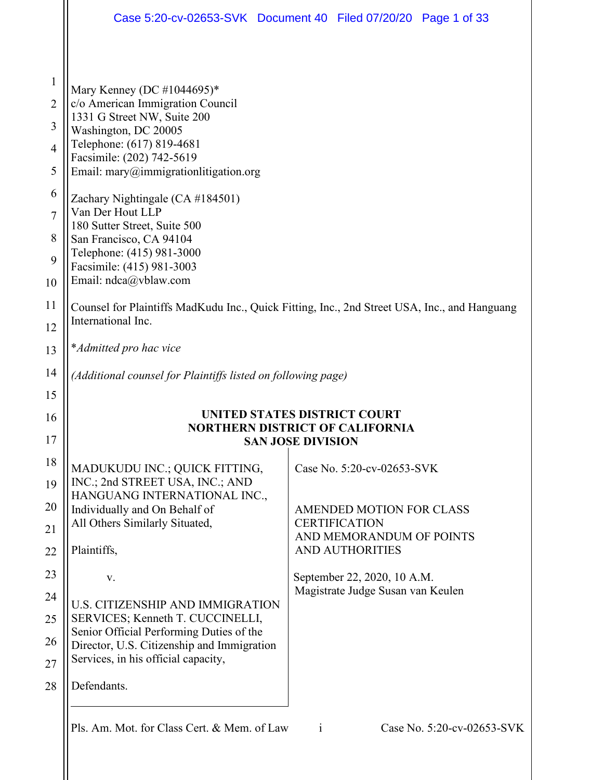|                                                                           | Case 5:20-cv-02653-SVK Document 40 Filed 07/20/20 Page 1 of 33                                                                                                                                                                                                                                                                                                                     |                          |                                                  |                            |
|---------------------------------------------------------------------------|------------------------------------------------------------------------------------------------------------------------------------------------------------------------------------------------------------------------------------------------------------------------------------------------------------------------------------------------------------------------------------|--------------------------|--------------------------------------------------|----------------------------|
| $\mathbf{1}$<br>$\overline{2}$<br>3<br>$\overline{4}$<br>5<br>6<br>7<br>8 | Mary Kenney (DC #1044695)*<br>c/o American Immigration Council<br>1331 G Street NW, Suite 200<br>Washington, DC 20005<br>Telephone: (617) 819-4681<br>Facsimile: (202) 742-5619<br>Email: $\text{many@immigration}$ litigation.org<br>Zachary Nightingale (CA #184501)<br>Van Der Hout LLP<br>180 Sutter Street, Suite 500<br>San Francisco, CA 94104<br>Telephone: (415) 981-3000 |                          |                                                  |                            |
| 9<br>10                                                                   | Facsimile: (415) 981-3003<br>Email: ndca@vblaw.com                                                                                                                                                                                                                                                                                                                                 |                          |                                                  |                            |
| 11<br>12                                                                  | Counsel for Plaintiffs MadKudu Inc., Quick Fitting, Inc., 2nd Street USA, Inc., and Hanguang<br>International Inc.                                                                                                                                                                                                                                                                 |                          |                                                  |                            |
| 13                                                                        | *Admitted pro hac vice                                                                                                                                                                                                                                                                                                                                                             |                          |                                                  |                            |
| 14                                                                        | (Additional counsel for Plaintiffs listed on following page)                                                                                                                                                                                                                                                                                                                       |                          |                                                  |                            |
| 15                                                                        |                                                                                                                                                                                                                                                                                                                                                                                    |                          |                                                  |                            |
| 16<br>17                                                                  | <b>UNITED STATES DISTRICT COURT</b><br><b>NORTHERN DISTRICT OF CALIFORNIA</b>                                                                                                                                                                                                                                                                                                      | <b>SAN JOSE DIVISION</b> |                                                  |                            |
| 18                                                                        |                                                                                                                                                                                                                                                                                                                                                                                    |                          |                                                  |                            |
| 19                                                                        | MADUKUDU INC.; QUICK FITTING,<br>INC.; 2nd STREET USA, INC.; AND<br>HANGUANG INTERNATIONAL INC.,                                                                                                                                                                                                                                                                                   |                          | Case No. 5:20-cv-02653-SVK                       |                            |
| 20                                                                        | Individually and On Behalf of                                                                                                                                                                                                                                                                                                                                                      |                          | AMENDED MOTION FOR CLASS                         |                            |
| 21                                                                        | All Others Similarly Situated,                                                                                                                                                                                                                                                                                                                                                     |                          | <b>CERTIFICATION</b><br>AND MEMORANDUM OF POINTS |                            |
| 22                                                                        | Plaintiffs,                                                                                                                                                                                                                                                                                                                                                                        |                          | <b>AND AUTHORITIES</b>                           |                            |
| 23                                                                        | V.                                                                                                                                                                                                                                                                                                                                                                                 |                          | September 22, 2020, 10 A.M.                      |                            |
| 24                                                                        | <b>U.S. CITIZENSHIP AND IMMIGRATION</b>                                                                                                                                                                                                                                                                                                                                            |                          | Magistrate Judge Susan van Keulen                |                            |
| 25                                                                        | SERVICES; Kenneth T. CUCCINELLI,<br>Senior Official Performing Duties of the                                                                                                                                                                                                                                                                                                       |                          |                                                  |                            |
| 26                                                                        | Director, U.S. Citizenship and Immigration<br>Services, in his official capacity,                                                                                                                                                                                                                                                                                                  |                          |                                                  |                            |
| 27                                                                        |                                                                                                                                                                                                                                                                                                                                                                                    |                          |                                                  |                            |
| 28                                                                        | Defendants.                                                                                                                                                                                                                                                                                                                                                                        |                          |                                                  |                            |
|                                                                           | Pls. Am. Mot. for Class Cert. & Mem. of Law                                                                                                                                                                                                                                                                                                                                        | $\mathbf{i}$             |                                                  | Case No. 5:20-cv-02653-SVK |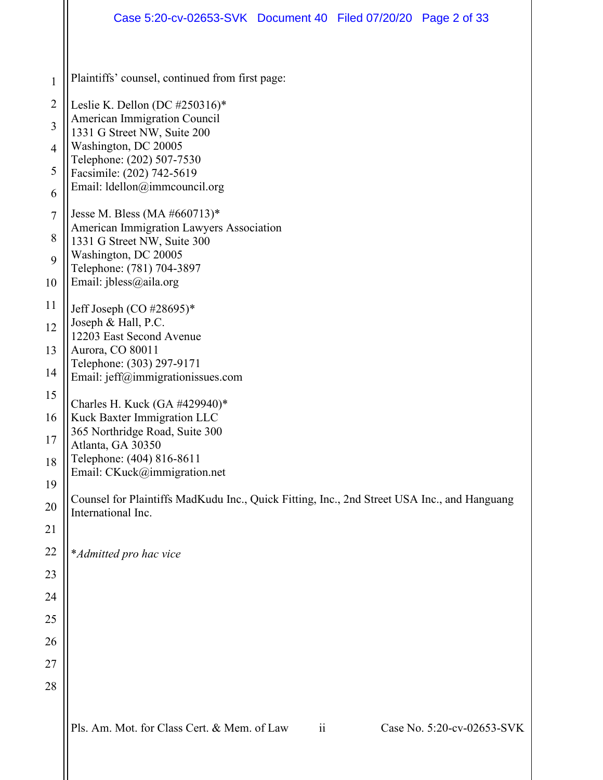|                | Case 5:20-cv-02653-SVK Document 40 Filed 07/20/20 Page 2 of 33                                   |  |  |  |  |  |
|----------------|--------------------------------------------------------------------------------------------------|--|--|--|--|--|
| 1              | Plaintiffs' counsel, continued from first page:                                                  |  |  |  |  |  |
| $\overline{2}$ | Leslie K. Dellon (DC #250316)*                                                                   |  |  |  |  |  |
| $\overline{3}$ | American Immigration Council                                                                     |  |  |  |  |  |
| $\overline{4}$ | 1331 G Street NW, Suite 200<br>Washington, DC 20005                                              |  |  |  |  |  |
| 5              | Telephone: (202) 507-7530<br>Facsimile: (202) 742-5619                                           |  |  |  |  |  |
| 6              | Email: ldellon@immcouncil.org                                                                    |  |  |  |  |  |
| $\overline{7}$ | Jesse M. Bless (MA #660713)*                                                                     |  |  |  |  |  |
| 8              | American Immigration Lawyers Association<br>1331 G Street NW, Suite 300                          |  |  |  |  |  |
| 9              | Washington, DC 20005<br>Telephone: (781) 704-3897                                                |  |  |  |  |  |
| 10             | Email: jbless@aila.org                                                                           |  |  |  |  |  |
| 11             | Jeff Joseph (CO $\#28695$ )*                                                                     |  |  |  |  |  |
| 12             | Joseph & Hall, P.C.<br>12203 East Second Avenue<br>Aurora, CO 80011<br>Telephone: (303) 297-9171 |  |  |  |  |  |
| 13             |                                                                                                  |  |  |  |  |  |
| 14             | Email: jeff@immigrationissues.com                                                                |  |  |  |  |  |
| 15             | Charles H. Kuck (GA #429940)*                                                                    |  |  |  |  |  |
| 16             | Kuck Baxter Immigration LLC<br>365 Northridge Road, Suite 300                                    |  |  |  |  |  |
| 17             | Atlanta, GA 30350<br>Telephone: (404) 816-8611                                                   |  |  |  |  |  |
| 18<br>19       | Email: CKuck@immigration.net                                                                     |  |  |  |  |  |
| 20             | Counsel for Plaintiffs MadKudu Inc., Quick Fitting, Inc., 2nd Street USA Inc., and Hanguang      |  |  |  |  |  |
| 21             | International Inc.                                                                               |  |  |  |  |  |
| 22             | *Admitted pro hac vice                                                                           |  |  |  |  |  |
| 23             |                                                                                                  |  |  |  |  |  |
| 24             |                                                                                                  |  |  |  |  |  |
| 25             |                                                                                                  |  |  |  |  |  |
| 26             |                                                                                                  |  |  |  |  |  |
| 27             |                                                                                                  |  |  |  |  |  |
| 28             |                                                                                                  |  |  |  |  |  |
|                | Pls. Am. Mot. for Class Cert. & Mem. of Law<br>Case No. 5:20-cv-02653-SVK<br>$\ddot{\rm n}$      |  |  |  |  |  |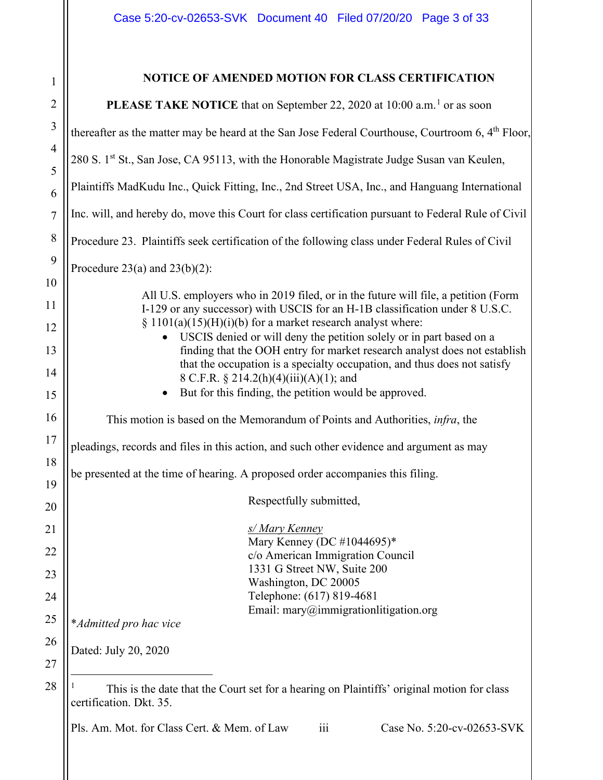<span id="page-2-0"></span>

| $\mathbf{1}$        | NOTICE OF AMENDED MOTION FOR CLASS CERTIFICATION                                                                                                                   |  |  |
|---------------------|--------------------------------------------------------------------------------------------------------------------------------------------------------------------|--|--|
|                     |                                                                                                                                                                    |  |  |
|                     | <b>PLEASE TAKE NOTICE</b> that on September 22, 2020 at 10:00 a.m. <sup>1</sup> or as soon                                                                         |  |  |
|                     | thereafter as the matter may be heard at the San Jose Federal Courthouse, Courtroom $6, 4th$ Floor,                                                                |  |  |
| $\overline{4}$<br>5 | 280 S. 1st St., San Jose, CA 95113, with the Honorable Magistrate Judge Susan van Keulen,                                                                          |  |  |
|                     | Plaintiffs MadKudu Inc., Quick Fitting, Inc., 2nd Street USA, Inc., and Hanguang International                                                                     |  |  |
|                     | Inc. will, and hereby do, move this Court for class certification pursuant to Federal Rule of Civil                                                                |  |  |
|                     | Procedure 23. Plaintiffs seek certification of the following class under Federal Rules of Civil                                                                    |  |  |
|                     | Procedure $23(a)$ and $23(b)(2)$ :                                                                                                                                 |  |  |
|                     | All U.S. employers who in 2019 filed, or in the future will file, a petition (Form<br>I-129 or any successor) with USCIS for an H-1B classification under 8 U.S.C. |  |  |
|                     | § $1101(a)(15)(H)(i)(b)$ for a market research analyst where:                                                                                                      |  |  |
|                     | USCIS denied or will deny the petition solely or in part based on a<br>$\bullet$<br>finding that the OOH entry for market research analyst does not establish      |  |  |
|                     | that the occupation is a specialty occupation, and thus does not satisfy<br>8 C.F.R. § 214.2(h)(4)(iii)(A)(1); and                                                 |  |  |
|                     | But for this finding, the petition would be approved.<br>$\bullet$                                                                                                 |  |  |
|                     | This motion is based on the Memorandum of Points and Authorities, <i>infra</i> , the                                                                               |  |  |
|                     | pleadings, records and files in this action, and such other evidence and argument as may                                                                           |  |  |
|                     | be presented at the time of hearing. A proposed order accompanies this filing.                                                                                     |  |  |
|                     | Respectfully submitted,                                                                                                                                            |  |  |
|                     |                                                                                                                                                                    |  |  |
|                     | s/ Mary Kenney<br>Mary Kenney (DC #1044695)*                                                                                                                       |  |  |
|                     | c/o American Immigration Council                                                                                                                                   |  |  |
|                     | 1331 G Street NW, Suite 200<br>Washington, DC 20005                                                                                                                |  |  |
|                     | Telephone: (617) 819-4681                                                                                                                                          |  |  |
|                     | Email: $\text{many@immigration}$ litigation.org<br>*Admitted pro hac vice                                                                                          |  |  |
|                     | Dated: July 20, 2020                                                                                                                                               |  |  |
|                     |                                                                                                                                                                    |  |  |
|                     | This is the date that the Court set for a hearing on Plaintiffs' original motion for class<br>certification. Dkt. 35.                                              |  |  |
|                     | Case No. 5:20-cv-02653-SVK<br>Pls. Am. Mot. for Class Cert. & Mem. of Law<br>$\overline{iii}$                                                                      |  |  |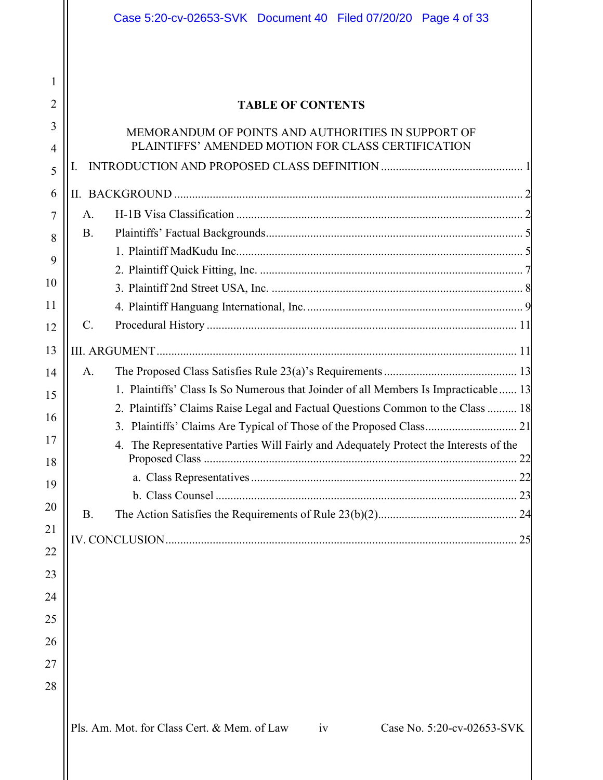|                | Case 5:20-cv-02653-SVK Document 40 Filed 07/20/20 Page 4 of 33                        |
|----------------|---------------------------------------------------------------------------------------|
|                |                                                                                       |
| 1              |                                                                                       |
| $\overline{2}$ | <b>TABLE OF CONTENTS</b>                                                              |
| 3              | MEMORANDUM OF POINTS AND AUTHORITIES IN SUPPORT OF                                    |
| $\overline{4}$ | PLAINTIFFS' AMENDED MOTION FOR CLASS CERTIFICATION                                    |
| 5              | Ι.                                                                                    |
| 6              |                                                                                       |
| 7              | A.                                                                                    |
| 8              | <b>B.</b>                                                                             |
| 9              |                                                                                       |
| 10             |                                                                                       |
| 11             |                                                                                       |
| 12             | $\mathbf{C}$ .                                                                        |
| 13             |                                                                                       |
| 14             | A.                                                                                    |
| 15             | 1. Plaintiffs' Class Is So Numerous that Joinder of all Members Is Impracticable 13   |
| 16             | 2. Plaintiffs' Claims Raise Legal and Factual Questions Common to the Class  18       |
| 17             | 4. The Representative Parties Will Fairly and Adequately Protect the Interests of the |
| 18             |                                                                                       |
| 19             |                                                                                       |
| 20             | <b>B.</b>                                                                             |
| 21             |                                                                                       |
| 22             | 25                                                                                    |
| 23             |                                                                                       |
| 24             |                                                                                       |
| 25             |                                                                                       |
| 26             |                                                                                       |
| 27             |                                                                                       |
| 28             |                                                                                       |
|                | Pls. Am. Mot. for Class Cert. & Mem. of Law<br>Case No. 5:20-cv-02653-SVK<br>iv       |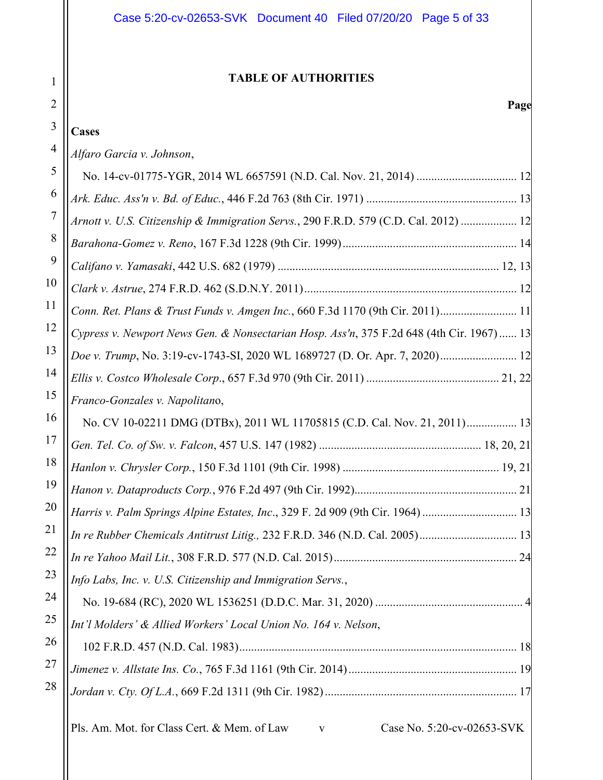# **TABLE OF AUTHORITIES**

1

2

# **Page**

| 3              | <b>Cases</b>                                                                              |
|----------------|-------------------------------------------------------------------------------------------|
| $\overline{4}$ | Alfaro Garcia v. Johnson,                                                                 |
| 5              |                                                                                           |
| 6              |                                                                                           |
| 7              | Arnott v. U.S. Citizenship & Immigration Servs., 290 F.R.D. 579 (C.D. Cal. 2012)  12      |
| 8              |                                                                                           |
| 9              |                                                                                           |
| 10             |                                                                                           |
| 11             | Conn. Ret. Plans & Trust Funds v. Amgen Inc., 660 F.3d 1170 (9th Cir. 2011) 11            |
| 12             | Cypress v. Newport News Gen. & Nonsectarian Hosp. Ass'n, 375 F.2d 648 (4th Cir. 1967) 13  |
| 13             | Doe v. Trump, No. 3:19-cv-1743-SI, 2020 WL 1689727 (D. Or. Apr. 7, 2020) 12               |
| 14             |                                                                                           |
| 15             | Franco-Gonzales v. Napolitano,                                                            |
| 16             | No. CV 10-02211 DMG (DTBx), 2011 WL 11705815 (C.D. Cal. Nov. 21, 2011) 13                 |
| 17             |                                                                                           |
| 18             |                                                                                           |
| 19             |                                                                                           |
| 20             | Harris v. Palm Springs Alpine Estates, Inc., 329 F. 2d 909 (9th Cir. 1964)  13            |
| 21             |                                                                                           |
| 22             |                                                                                           |
| 23             | Info Labs, Inc. v. U.S. Citizenship and Immigration Servs.,                               |
| 24             |                                                                                           |
| 25             | Int'l Molders' & Allied Workers' Local Union No. 164 v. Nelson,                           |
| 26             |                                                                                           |
| 27             |                                                                                           |
| 28             |                                                                                           |
|                | Pls. Am. Mot. for Class Cert. & Mem. of Law<br>Case No. 5:20-cv-02653-SVK<br>$\mathbf{V}$ |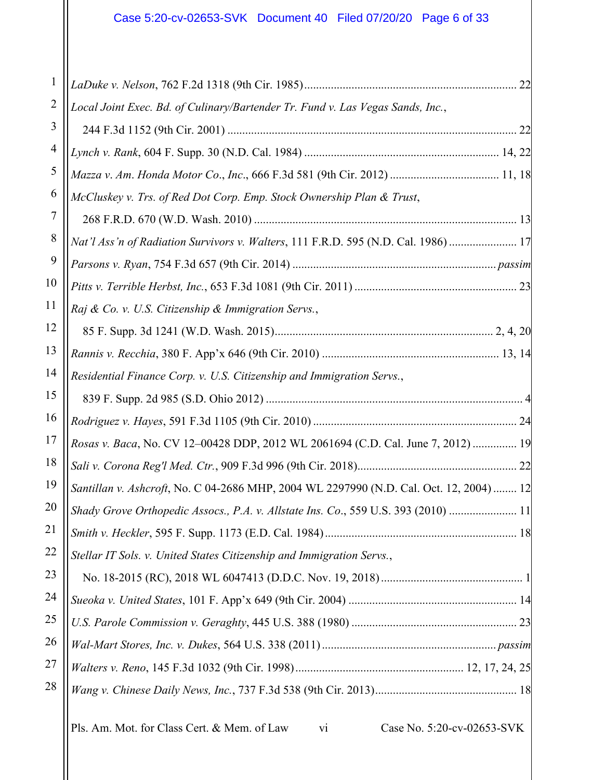| 2  | Local Joint Exec. Bd. of Culinary/Bartender Tr. Fund v. Las Vegas Sands, Inc.,          |
|----|-----------------------------------------------------------------------------------------|
| 3  |                                                                                         |
| 4  |                                                                                         |
| 5  | Mazza v. Am. Honda Motor Co., Inc., 666 F.3d 581 (9th Cir. 2012)  11, 18                |
| 6  | McCluskey v. Trs. of Red Dot Corp. Emp. Stock Ownership Plan & Trust,                   |
| 7  |                                                                                         |
| 8  | Nat'l Ass'n of Radiation Survivors v. Walters, 111 F.R.D. 595 (N.D. Cal. 1986)  17      |
| 9  |                                                                                         |
| 10 |                                                                                         |
| 11 | Raj & Co. v. U.S. Citizenship & Immigration Servs.,                                     |
| 12 |                                                                                         |
| 13 |                                                                                         |
| 14 | Residential Finance Corp. v. U.S. Citizenship and Immigration Servs.,                   |
| 15 |                                                                                         |
| 16 |                                                                                         |
| 17 | Rosas v. Baca, No. CV 12-00428 DDP, 2012 WL 2061694 (C.D. Cal. June 7, 2012)  19        |
| 18 |                                                                                         |
| 19 | Santillan v. Ashcroft, No. C 04-2686 MHP, 2004 WL 2297990 (N.D. Cal. Oct. 12, 2004)  12 |
| 20 | Shady Grove Orthopedic Assocs., P.A. v. Allstate Ins. Co., 559 U.S. 393 (2010)  11      |
| 21 |                                                                                         |
| 22 | Stellar IT Sols. v. United States Citizenship and Immigration Servs.,                   |
| 23 |                                                                                         |
| 24 |                                                                                         |
| 25 |                                                                                         |
| 26 |                                                                                         |
| 27 |                                                                                         |
| 28 |                                                                                         |
|    |                                                                                         |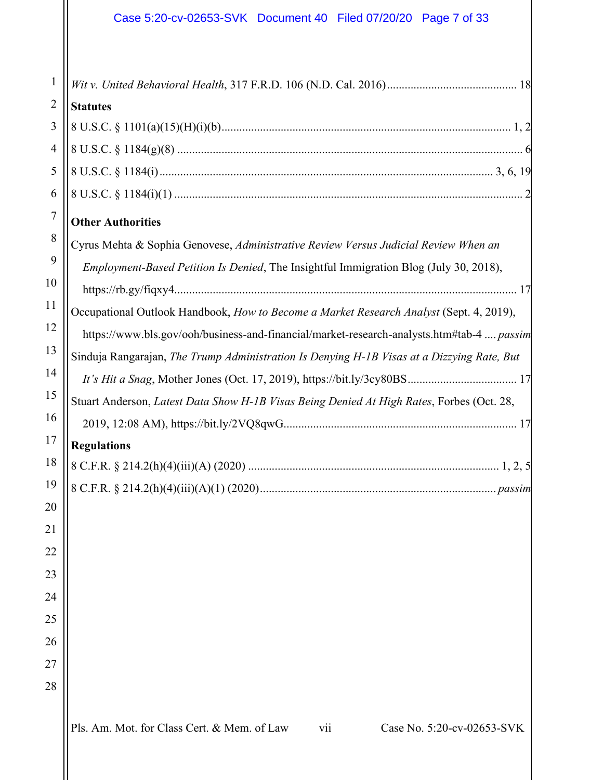| $\mathbf{1}$     |                                                                                            |
|------------------|--------------------------------------------------------------------------------------------|
| $\overline{2}$   | <b>Statutes</b>                                                                            |
| 3                |                                                                                            |
| $\overline{4}$   |                                                                                            |
| 5                |                                                                                            |
| 6                |                                                                                            |
| $\boldsymbol{7}$ | <b>Other Authorities</b>                                                                   |
| 8                | Cyrus Mehta & Sophia Genovese, Administrative Review Versus Judicial Review When an        |
| 9                | Employment-Based Petition Is Denied, The Insightful Immigration Blog (July 30, 2018),      |
| 10               |                                                                                            |
| 11               | Occupational Outlook Handbook, How to Become a Market Research Analyst (Sept. 4, 2019),    |
| 12               | https://www.bls.gov/ooh/business-and-financial/market-research-analysts.htm#tab-4  passim  |
| 13               | Sinduja Rangarajan, The Trump Administration Is Denying H-1B Visas at a Dizzying Rate, But |
| 14               |                                                                                            |
| 15               | Stuart Anderson, Latest Data Show H-1B Visas Being Denied At High Rates, Forbes (Oct. 28,  |
| 16               |                                                                                            |
| 17               | <b>Regulations</b>                                                                         |
| 18               |                                                                                            |
| 19               |                                                                                            |
| 20               |                                                                                            |
| 21               |                                                                                            |
| 22               |                                                                                            |
| 23               |                                                                                            |
| 24               |                                                                                            |
| 25               |                                                                                            |
| 26               |                                                                                            |
| 27               |                                                                                            |
| 28               |                                                                                            |
|                  | Pls. Am. Mot. for Class Cert. & Mem. of Law<br>Case No. 5:20-cv-02653-SVK<br>vii           |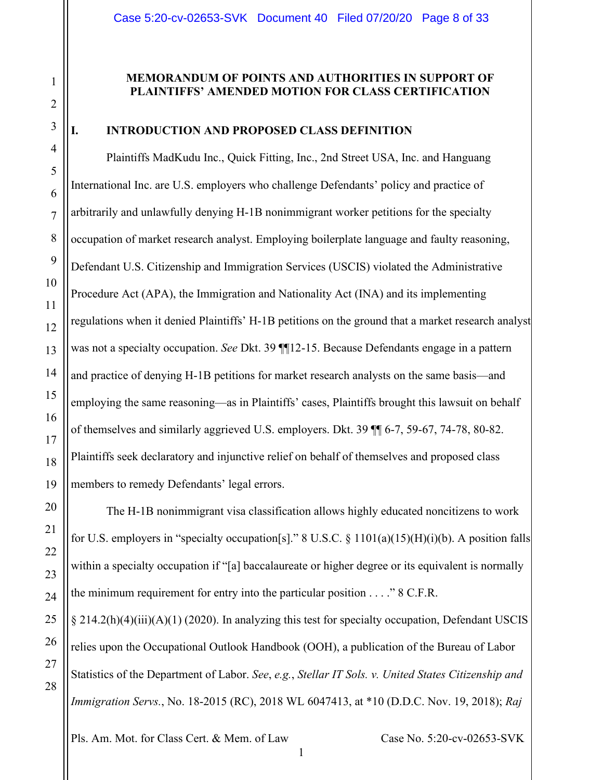### **MEMORANDUM OF POINTS AND AUTHORITIES IN SUPPORT OF PLAINTIFFS' AMENDED MOTION FOR CLASS CERTIFIC**

### <span id="page-7-0"></span>**I. INTRODUCTION AND PROPOSED CLASS DEFINITION**

Plaintiffs MadKudu Inc., Quick Fitting, Inc., 2nd Street USA, Inc. and Hanguang International Inc. are U.S. employers who challenge Defendants' policy and practice of arbitrarily and unlawfully denying H-1B nonimmigrant worker petitions for the specialty occupation of market research analyst. Employing boilerplate language and faulty reasoning, Defendant U.S. Citizenship and Immigration Services (USCIS) violated the Administrative Procedure Act (APA), the Immigration and Nationality Act (INA) and its implementing regulations when it denied Plaintiffs' H-1B petitions on the ground that a market research analyst was not a specialty occupation. *See* Dkt. 39 ¶¶12-15. Because Defendants engage in a pattern and practice of denying H-1B petitions for market research analysts on the same basis—and employing the same reasoning—as in Plaintiffs' cases, Plaintiffs brought this lawsuit on behalf of themselves and similarly aggrieved U.S. employers. Dkt. 39 ¶¶ 6-7, 59-67, 74-78, 80-82. Plaintiffs seek declaratory and injunctive relief on behalf of themselves and proposed class members to remedy Defendants' legal errors.

The H-1B nonimmigrant visa classification allows highly educated noncitizens to work for U.S. employers in "specialty occupation[s]." 8 U.S.C. § 1101(a)(15)(H)(i)(b). A position falls within a specialty occupation if "[a] baccalaureate or higher degree or its equivalent is normally the minimum requirement for entry into the particular position  $\ldots$  " 8 C.F.R.

§ 214.2(h)(4)(iii)(A)(1) (2020). In analyzing this test for specialty occupation, Defendant USCIS relies upon the Occupational Outlook Handbook (OOH), a publication of the Bureau of Labor Statistics of the Department of Labor. *See*, *e.g.*, *Stellar IT Sols. v. United States Citizenship and Immigration Servs.*, No. 18-2015 (RC), 2018 WL 6047413, at \*10 (D.D.C. Nov. 19, 2018); *Raj* 

Pls. Am. Mot. for Class Cert. & Mem. of Law Case No. 5:20-cv-02653-SVK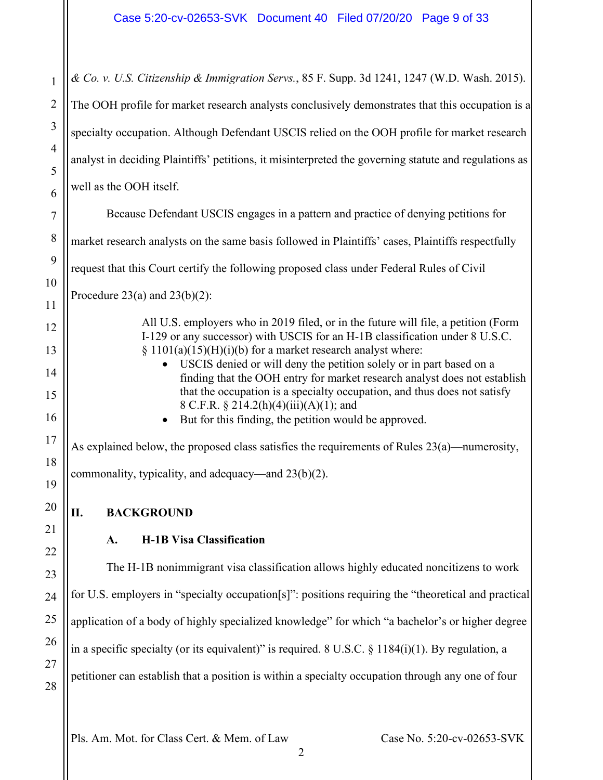*& Co. v. U.S. Citizenship & Immigration Servs.*, 85 F. Supp. 3d 1241, 1247 (W.D. Wash. 2015). The OOH profile for market research analysts conclusively demonstrates that this occupation is a specialty occupation. Although Defendant USCIS relied on the OOH profile for market research analyst in deciding Plaintiffs' petitions, it misinterpreted the governing statute and regulations as well as the OOH itself.

Because Defendant USCIS engages in a pattern and practice of denying petitions for

market research analysts on the same basis followed in Plaintiffs' cases, Plaintiffs respectfully

request that this Court certify the following proposed class under Federal Rules of Civil

Procedure  $23(a)$  and  $23(b)(2)$ :

1

2

3

4

5

6

7

8

9

10

11

12

13

14

15

16

17

18

19

20

<span id="page-8-1"></span>21

22

23

24

25

26

27

28

All U.S. employers who in 2019 filed, or in the future will file, a petition (Form I-129 or any successor) with USCIS for an H-1B classification under 8 U.S.C.  $\S 1101(a)(15)(H)(i)(b)$  for a market research analyst where:

- USCIS denied or will deny the petition solely or in part based on a finding that the OOH entry for market research analyst does not establish that the occupation is a specialty occupation, and thus does not satisfy 8 C.F.R. § 214.2(h)(4)(iii)(A)(1); and
- But for this finding, the petition would be approved.

As explained below, the proposed class satisfies the requirements of Rules 23(a)—numerosity, commonality, typicality, and adequacy—and 23(b)(2).

# <span id="page-8-0"></span>**II. BACKGROUND**

# **A. H-1B Visa Classification**

The H-1B nonimmigrant visa classification allows highly educated noncitizens to work for U.S. employers in "specialty occupation[s]": positions requiring the "theoretical and practical application of a body of highly specialized knowledge" for which "a bachelor's or higher degree in a specific specialty (or its equivalent)" is required. 8 U.S.C.  $\S$  1184(i)(1). By regulation, a petitioner can establish that a position is within a specialty occupation through any one of four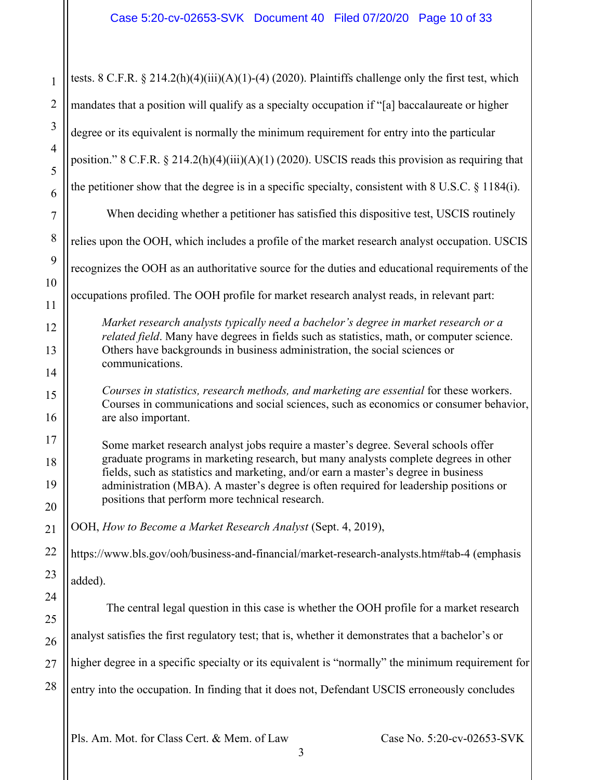| $\mathbf{1}$        | tests. 8 C.F.R. § 214.2(h)(4)(iii)(A)(1)-(4) (2020). Plaintiffs challenge only the first test, which                                                                                     |
|---------------------|------------------------------------------------------------------------------------------------------------------------------------------------------------------------------------------|
| $\overline{2}$      | mandates that a position will qualify as a specialty occupation if "[a] baccalaureate or higher                                                                                          |
| 3                   | degree or its equivalent is normally the minimum requirement for entry into the particular                                                                                               |
| $\overline{4}$<br>5 | position." 8 C.F.R. § 214.2(h)(4)(iii)(A)(1) (2020). USCIS reads this provision as requiring that                                                                                        |
| 6                   | the petitioner show that the degree is in a specific specialty, consistent with $8 \text{ U.S.C. } \S 1184(i)$ .                                                                         |
| $\tau$              | When deciding whether a petitioner has satisfied this dispositive test, USCIS routinely                                                                                                  |
| $8\phantom{1}$      | relies upon the OOH, which includes a profile of the market research analyst occupation. USCIS                                                                                           |
| 9                   | recognizes the OOH as an authoritative source for the duties and educational requirements of the                                                                                         |
| 10<br>11            | occupations profiled. The OOH profile for market research analyst reads, in relevant part:                                                                                               |
| 12                  | Market research analysts typically need a bachelor's degree in market research or a<br><i>related field</i> . Many have degrees in fields such as statistics, math, or computer science. |
| 13                  | Others have backgrounds in business administration, the social sciences or                                                                                                               |
| 14                  | communications.                                                                                                                                                                          |
| 15                  | Courses in statistics, research methods, and marketing are essential for these workers.<br>Courses in communications and social sciences, such as economics or consumer behavior,        |
| 16                  | are also important.                                                                                                                                                                      |
| 17<br>18            | Some market research analyst jobs require a master's degree. Several schools offer<br>graduate programs in marketing research, but many analysts complete degrees in other               |
| 19                  | fields, such as statistics and marketing, and/or earn a master's degree in business                                                                                                      |
| 20                  | administration (MBA). A master's degree is often required for leadership positions or<br>positions that perform more technical research.                                                 |
| 21                  | OOH, How to Become a Market Research Analyst (Sept. 4, 2019),                                                                                                                            |
| 22                  | https://www.bls.gov/ooh/business-and-financial/market-research-analysts.htm#tab-4 (emphasis                                                                                              |
| 23                  | added).                                                                                                                                                                                  |
| 24                  | The central legal question in this case is whether the OOH profile for a market research                                                                                                 |
| 25                  |                                                                                                                                                                                          |
| 26                  | analyst satisfies the first regulatory test; that is, whether it demonstrates that a bachelor's or                                                                                       |
| 27                  | higher degree in a specific specialty or its equivalent is "normally" the minimum requirement for                                                                                        |
| 28                  | entry into the occupation. In finding that it does not, Defendant USCIS erroneously concludes                                                                                            |
|                     |                                                                                                                                                                                          |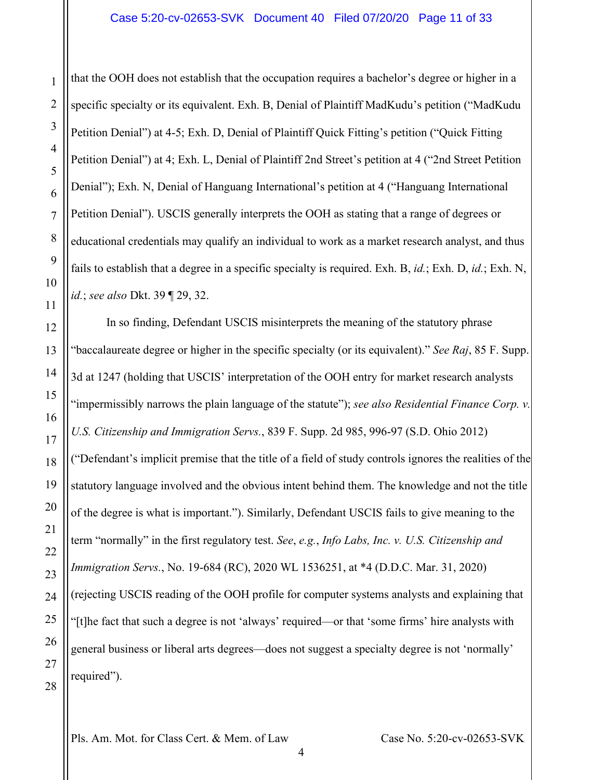that the OOH does not establish that the occupation requires a bachelor's degree or higher in a specific specialty or its equivalent. Exh. B, Denial of Plaintiff MadKudu's petition ("MadKudu Petition Denial") at 4-5; Exh. D, Denial of Plaintiff Quick Fitting's petition ("Quick Fitting Petition Denial") at 4; Exh. L, Denial of Plaintiff 2nd Street's petition at 4 ("2nd Street Petition Denial"); Exh. N, Denial of Hanguang International's petition at 4 ("Hanguang International Petition Denial"). USCIS generally interprets the OOH as stating that a range of degrees or educational credentials may qualify an individual to work as a market research analyst, and thus fails to establish that a degree in a specific specialty is required. Exh. B, *id.*; Exh. D, *id.*; Exh. N, *id.*; *see also* Dkt. 39 ¶ 29, 32.

In so finding, Defendant USCIS misinterprets the meaning of the statutory phrase "baccalaureate degree or higher in the specific specialty (or its equivalent)." *See Raj*, 85 F. Supp. 3d at 1247 (holding that USCIS' interpretation of the OOH entry for market research analysts "impermissibly narrows the plain language of the statute"); *see also Residential Finance Corp. v. U.S. Citizenship and Immigration Servs.*, 839 F. Supp. 2d 985, 996-97 (S.D. Ohio 2012) ("Defendant's implicit premise that the title of a field of study controls ignores the realities of the statutory language involved and the obvious intent behind them. The knowledge and not the title of the degree is what is important."). Similarly, Defendant USCIS fails to give meaning to the term "normally" in the first regulatory test. *See*, *e.g.*, *Info Labs, Inc. v. U.S. Citizenship and Immigration Servs.*, No. 19-684 (RC), 2020 WL 1536251, at \*4 (D.D.C. Mar. 31, 2020) (rejecting USCIS reading of the OOH profile for computer systems analysts and explaining that "[t]he fact that such a degree is not 'always' required—or that 'some firms' hire analysts with general business or liberal arts degrees—does not suggest a specialty degree is not 'normally' required").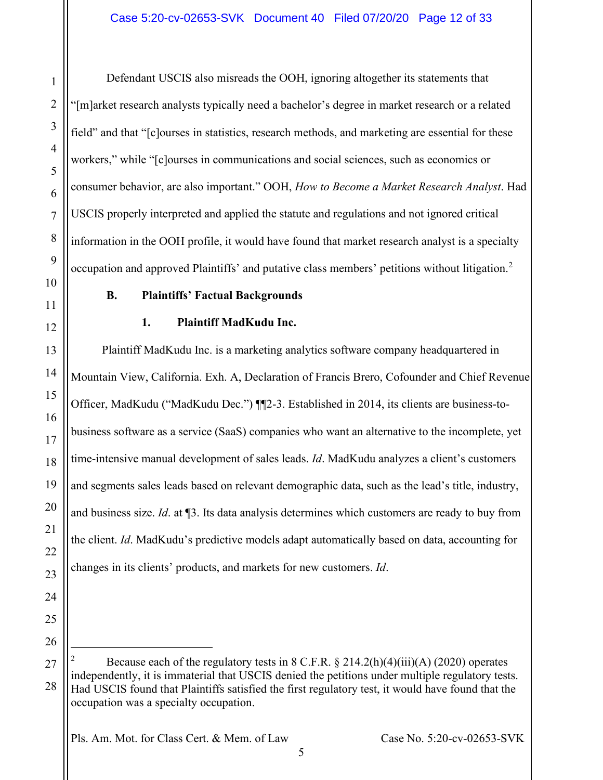Defendant USCIS also misreads the OOH, ignoring altogether its statements that "[m]arket research analysts typically need a bachelor's degree in market research or a related field" and that "[c]ourses in statistics, research methods, and marketing are essential for these workers," while "[c]ourses in communications and social sciences, such as economics or consumer behavior, are also important." OOH, *How to Become a Market Research Analyst*. Had USCIS properly interpreted and applied the statute and regulations and not ignored critical information in the OOH profile, it would have found that market research analyst is a specialty occupation and approved Plaintiffs' and putative class members' petitions without litigation.<sup>[2](#page-11-2)</sup>

# **B. Plaintiffs' Factual Backgrounds**

1

2

3

4

5

6

7

8

9

<span id="page-11-0"></span>10

11

<span id="page-11-1"></span>12

13

14

15

16

17

18

19

20

21

22

23

24

25

26

<span id="page-11-2"></span>27

28

# **1. Plaintiff MadKudu Inc.**

Plaintiff MadKudu Inc. is a marketing analytics software company headquartered in Mountain View, California. Exh. A, Declaration of Francis Brero, Cofounder and Chief Revenue Officer, MadKudu ("MadKudu Dec.") ¶¶2-3. Established in 2014, its clients are business-tobusiness software as a service (SaaS) companies who want an alternative to the incomplete, yet time-intensive manual development of sales leads. *Id*. MadKudu analyzes a client's customers and segments sales leads based on relevant demographic data, such as the lead's title, industry, and business size. *Id*. at ¶3. Its data analysis determines which customers are ready to buy from the client. *Id*. MadKudu's predictive models adapt automatically based on data, accounting for changes in its clients' products, and markets for new customers. *Id*.

Because each of the regulatory tests in  $8$  C.F.R.  $\S 214.2(h)(4)(iii)(A)$  (2020) operates independently, it is immaterial that USCIS denied the petitions under multiple regulatory tests. Had USCIS found that Plaintiffs satisfied the first regulatory test, it would have found that the occupation was a specialty occupation.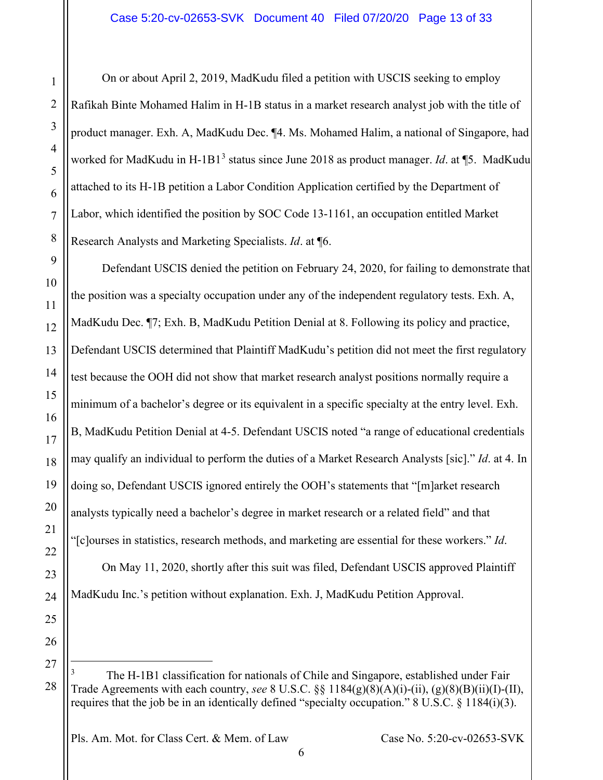On or about April 2, 2019, MadKudu filed a petition with USCIS seeking to employ Rafikah Binte Mohamed Halim in H-1B status in a market research analyst job with the title of product manager. Exh. A, MadKudu Dec. ¶4. Ms. Mohamed Halim, a national of Singapore, had worked for MadKudu in H-1B1<sup>[3](#page-12-0)</sup> status since June 2018 as product manager. *Id.* at ¶5. MadKudu attached to its H-1B petition a Labor Condition Application certified by the Department of Labor, which identified the position by SOC Code 13-1161, an occupation entitled Market Research Analysts and Marketing Specialists. *Id*. at ¶6.

Defendant USCIS denied the petition on February 24, 2020, for failing to demonstrate that the position was a specialty occupation under any of the independent regulatory tests. Exh. A, MadKudu Dec. ¶7; Exh. B, MadKudu Petition Denial at 8. Following its policy and practice, Defendant USCIS determined that Plaintiff MadKudu's petition did not meet the first regulatory test because the OOH did not show that market research analyst positions normally require a minimum of a bachelor's degree or its equivalent in a specific specialty at the entry level. Exh. B, MadKudu Petition Denial at 4-5. Defendant USCIS noted "a range of educational credentials may qualify an individual to perform the duties of a Market Research Analysts [sic]." *Id*. at 4. In doing so, Defendant USCIS ignored entirely the OOH's statements that "[m]arket research analysts typically need a bachelor's degree in market research or a related field" and that "[c]ourses in statistics, research methods, and marketing are essential for these workers." *Id*.

On May 11, 2020, shortly after this suit was filed, Defendant USCIS approved Plaintiff MadKudu Inc.'s petition without explanation. Exh. J, MadKudu Petition Approval.

<span id="page-12-0"></span>The H-1B1 classification for nationals of Chile and Singapore, established under Fair Trade Agreements with each country, *see* 8 U.S.C. §§ 1184(g)(8)(A)(i)-(ii), (g)(8)(B)(ii)(I)-(II), requires that the job be in an identically defined "specialty occupation." 8 U.S.C. § 1184(i)(3).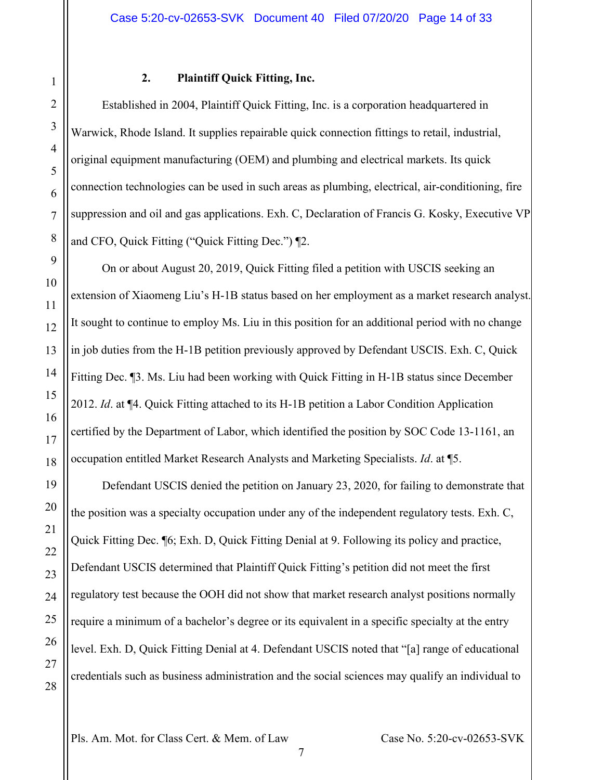# **2. Plaintiff Quick Fitting, Inc.**

Established in 2004, Plaintiff Quick Fitting, Inc. is a corporation headquartered in Warwick, Rhode Island. It supplies repairable quick connection fittings to retail, industrial, original equipment manufacturing (OEM) and plumbing and electrical markets. Its quick connection technologies can be used in such areas as plumbing, electrical, air-conditioning, fire suppression and oil and gas applications. Exh. C, Declaration of Francis G. Kosky, Executive VP and CFO, Quick Fitting ("Quick Fitting Dec.") ¶2.

On or about August 20, 2019, Quick Fitting filed a petition with USCIS seeking an extension of Xiaomeng Liu's H-1B status based on her employment as a market research analyst. It sought to continue to employ Ms. Liu in this position for an additional period with no change in job duties from the H-1B petition previously approved by Defendant USCIS. Exh. C, Quick Fitting Dec. ¶3. Ms. Liu had been working with Quick Fitting in H-1B status since December 2012. *Id*. at ¶4. Quick Fitting attached to its H-1B petition a Labor Condition Application certified by the Department of Labor, which identified the position by SOC Code 13-1161, an occupation entitled Market Research Analysts and Marketing Specialists. *Id*. at ¶5.

Defendant USCIS denied the petition on January 23, 2020, for failing to demonstrate that the position was a specialty occupation under any of the independent regulatory tests. Exh. C, Quick Fitting Dec. ¶6; Exh. D, Quick Fitting Denial at 9. Following its policy and practice, Defendant USCIS determined that Plaintiff Quick Fitting's petition did not meet the first regulatory test because the OOH did not show that market research analyst positions normally require a minimum of a bachelor's degree or its equivalent in a specific specialty at the entry level. Exh. D, Quick Fitting Denial at 4. Defendant USCIS noted that "[a] range of educational credentials such as business administration and the social sciences may qualify an individual to

<span id="page-13-0"></span>1

2

3

4

5

6

7

8

9

10

11

12

13

14

15

16

17

18

19

20

21

22

23

24

25

26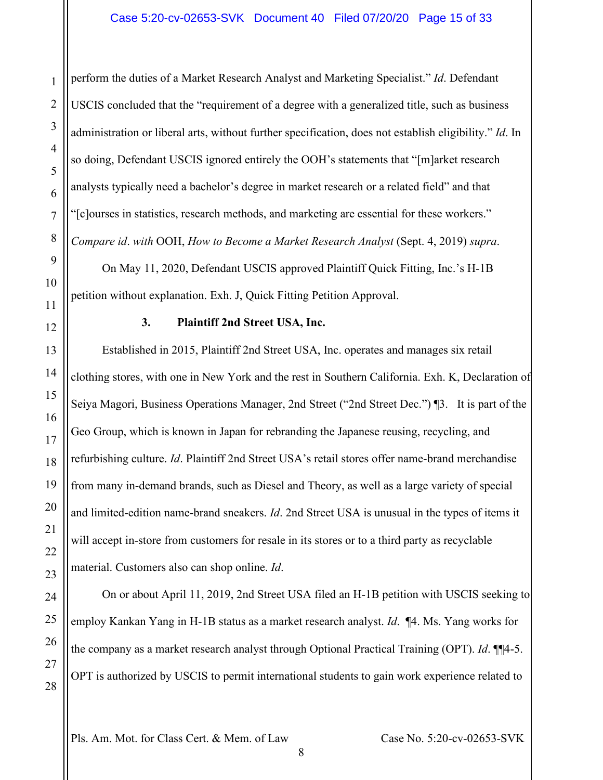perform the duties of a Market Research Analyst and Marketing Specialist." *Id*. Defendant USCIS concluded that the "requirement of a degree with a generalized title, such as business administration or liberal arts, without further specification, does not establish eligibility." *Id*. In so doing, Defendant USCIS ignored entirely the OOH's statements that "[m]arket research analysts typically need a bachelor's degree in market research or a related field" and that "[c]ourses in statistics, research methods, and marketing are essential for these workers." *Compare id*. *with* OOH, *How to Become a Market Research Analyst* (Sept. 4, 2019) *supra*.

On May 11, 2020, Defendant USCIS approved Plaintiff Quick Fitting, Inc.'s H-1B petition without explanation. Exh. J, Quick Fitting Petition Approval.

# **3. Plaintiff 2nd Street USA, Inc.**

<span id="page-14-0"></span>Established in 2015, Plaintiff 2nd Street USA, Inc. operates and manages six retail clothing stores, with one in New York and the rest in Southern California. Exh. K, Declaration of Seiya Magori, Business Operations Manager, 2nd Street ("2nd Street Dec.") ¶3. It is part of the Geo Group, which is known in Japan for rebranding the Japanese reusing, recycling, and refurbishing culture. *Id*. Plaintiff 2nd Street USA's retail stores offer name-brand merchandise from many in-demand brands, such as Diesel and Theory, as well as a large variety of special and limited-edition name-brand sneakers. *Id*. 2nd Street USA is unusual in the types of items it will accept in-store from customers for resale in its stores or to a third party as recyclable material. Customers also can shop online. *Id*.

On or about April 11, 2019, 2nd Street USA filed an H-1B petition with USCIS seeking to employ Kankan Yang in H-1B status as a market research analyst. *Id*. ¶4. Ms. Yang works for the company as a market research analyst through Optional Practical Training (OPT). *Id*. ¶¶4-5. OPT is authorized by USCIS to permit international students to gain work experience related to

Pls. Am. Mot. for Class Cert. & Mem. of Law Case No. 5:20-cv-02653-SVK

1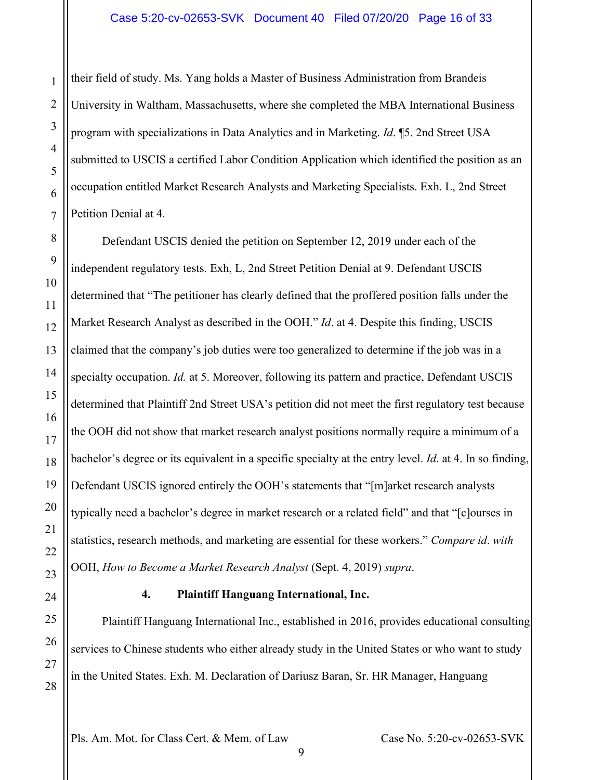their field of study. Ms. Yang holds a Master of Business Administration from Brandeis University in Waltham, Massachusetts, where she completed the MBA International Business program with specializations in Data Analytics and in Marketing. *Id*. ¶5. 2nd Street USA submitted to USCIS a certified Labor Condition Application which identified the position as an occupation entitled Market Research Analysts and Marketing Specialists. Exh. L, 2nd Street Petition Denial at 4.

Defendant USCIS denied the petition on September 12, 2019 under each of the independent regulatory tests. Exh, L, 2nd Street Petition Denial at 9. Defendant USCIS determined that "The petitioner has clearly defined that the proffered position falls under the Market Research Analyst as described in the OOH." *Id*. at 4. Despite this finding, USCIS claimed that the company's job duties were too generalized to determine if the job was in a specialty occupation. *Id.* at 5. Moreover, following its pattern and practice, Defendant USCIS determined that Plaintiff 2nd Street USA's petition did not meet the first regulatory test because the OOH did not show that market research analyst positions normally require a minimum of a bachelor's degree or its equivalent in a specific specialty at the entry level. *Id*. at 4. In so finding, Defendant USCIS ignored entirely the OOH's statements that "[m]arket research analysts typically need a bachelor's degree in market research or a related field" and that "[c]ourses in statistics, research methods, and marketing are essential for these workers." *Compare id*. *with* OOH, *How to Become a Market Research Analyst* (Sept. 4, 2019) *supra*.

<span id="page-15-0"></span>

1

2

3

4

5

6

7

8

9

10

11

12

13

14

15

16

17

18

19

20

21

22

23

24

25

26

27

28

# **4. Plaintiff Hanguang International, Inc.**

Plaintiff Hanguang International Inc., established in 2016, provides educational consulting services to Chinese students who either already study in the United States or who want to study in the United States. Exh. M. Declaration of Dariusz Baran, Sr. HR Manager, Hanguang

Pls. Am. Mot. for Class Cert. & Mem. of Law Case No. 5:20-cv-02653-SVK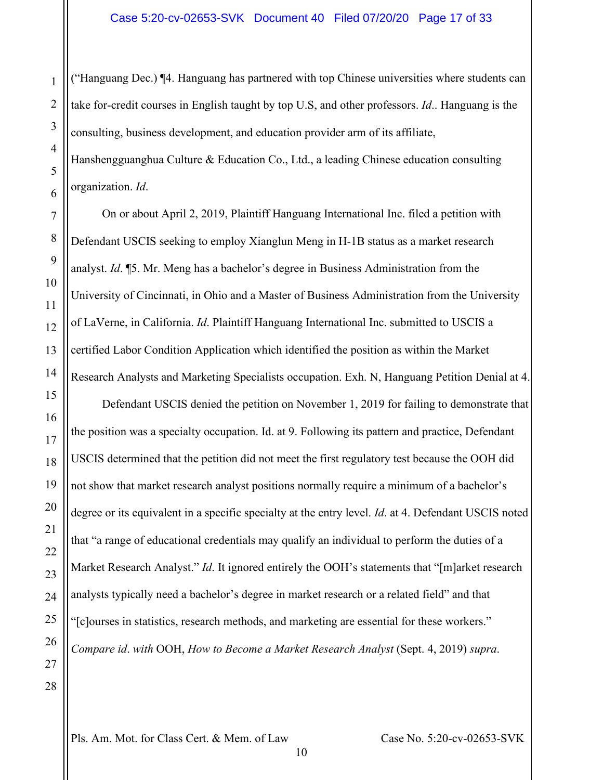("Hanguang Dec.) ¶4. Hanguang has partnered with top Chinese universities where students can take for-credit courses in English taught by top U.S, and other professors. *Id*.. Hanguang is the consulting, business development, and education provider arm of its affiliate, Hanshengguanghua Culture & Education Co., Ltd., a leading Chinese education consulting

organization. *Id*.

On or about April 2, 2019, Plaintiff Hanguang International Inc. filed a petition with Defendant USCIS seeking to employ Xianglun Meng in H-1B status as a market research analyst. *Id*. ¶5. Mr. Meng has a bachelor's degree in Business Administration from the University of Cincinnati, in Ohio and a Master of Business Administration from the University of LaVerne, in California. *Id*. Plaintiff Hanguang International Inc. submitted to USCIS a certified Labor Condition Application which identified the position as within the Market Research Analysts and Marketing Specialists occupation. Exh. N, Hanguang Petition Denial at 4.

Defendant USCIS denied the petition on November 1, 2019 for failing to demonstrate that the position was a specialty occupation. Id. at 9. Following its pattern and practice, Defendant USCIS determined that the petition did not meet the first regulatory test because the OOH did not show that market research analyst positions normally require a minimum of a bachelor's degree or its equivalent in a specific specialty at the entry level. *Id*. at 4. Defendant USCIS noted that "a range of educational credentials may qualify an individual to perform the duties of a Market Research Analyst." *Id*. It ignored entirely the OOH's statements that "[m]arket research analysts typically need a bachelor's degree in market research or a related field" and that "[c]ourses in statistics, research methods, and marketing are essential for these workers." *Compare id*. *with* OOH, *How to Become a Market Research Analyst* (Sept. 4, 2019) *supra*.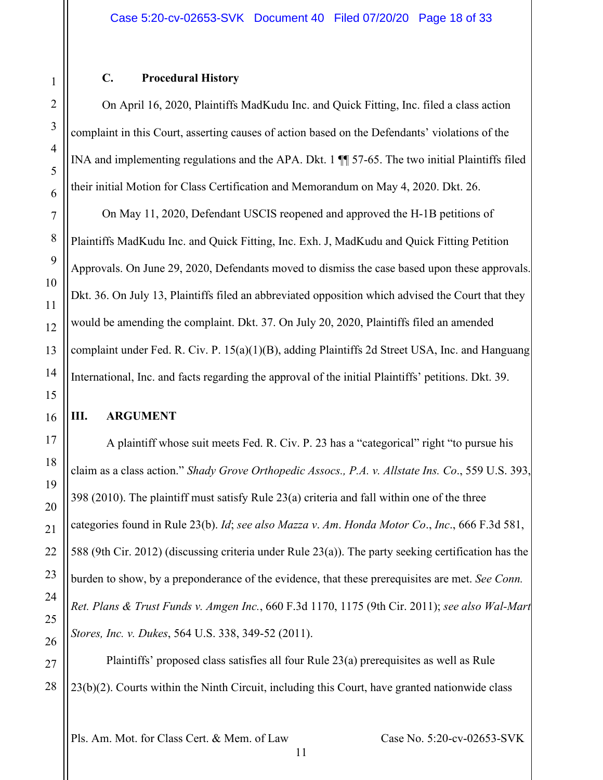### **C. Procedural History**

<span id="page-17-0"></span>On April 16, 2020, Plaintiffs MadKudu Inc. and Quick Fitting, Inc. filed a class action complaint in this Court, asserting causes of action based on the Defendants' violations of the INA and implementing regulations and the APA. Dkt. 1 ¶¶ 57-65. The two initial Plaintiffs filed their initial Motion for Class Certification and Memorandum on May 4, 2020. Dkt. 26.

On May 11, 2020, Defendant USCIS reopened and approved the H-1B petitions of Plaintiffs MadKudu Inc. and Quick Fitting, Inc. Exh. J, MadKudu and Quick Fitting Petition Approvals. On June 29, 2020, Defendants moved to dismiss the case based upon these approvals. Dkt. 36. On July 13, Plaintiffs filed an abbreviated opposition which advised the Court that they would be amending the complaint. Dkt. 37. On July 20, 2020, Plaintiffs filed an amended complaint under Fed. R. Civ. P. 15(a)(1)(B), adding Plaintiffs 2d Street USA, Inc. and Hanguang International, Inc. and facts regarding the approval of the initial Plaintiffs' petitions. Dkt. 39.

# <span id="page-17-1"></span>**III. ARGUMENT**

A plaintiff whose suit meets Fed. R. Civ. P. 23 has a "categorical" right "to pursue his claim as a class action." *Shady Grove Orthopedic Assocs., P.A. v. Allstate Ins. Co*., 559 U.S. 393, 398 (2010). The plaintiff must satisfy Rule 23(a) criteria and fall within one of the three categories found in Rule 23(b). *Id*; *see also Mazza v*. *Am*. *Honda Motor Co*., *Inc*., 666 F.3d 581, 588 (9th Cir. 2012) (discussing criteria under Rule 23(a)). The party seeking certification has the burden to show, by a preponderance of the evidence, that these prerequisites are met. *See Conn. Ret. Plans & Trust Funds v. Amgen Inc.*, 660 F.3d 1170, 1175 (9th Cir. 2011); *see also Wal-Mart Stores, Inc. v. Dukes*, 564 U.S. 338, 349-52 (2011).

Plaintiffs' proposed class satisfies all four Rule 23(a) prerequisites as well as Rule 23(b)(2). Courts within the Ninth Circuit, including this Court, have granted nationwide class

Pls. Am. Mot. for Class Cert. & Mem. of Law Case No. 5:20-cv-02653-SVK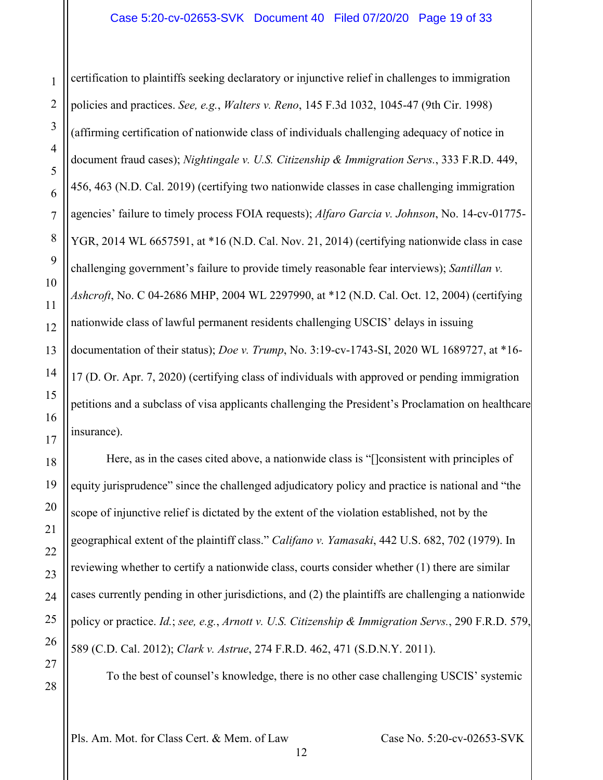#### Case 5:20-cv-02653-SVK Document 40 Filed 07/20/20 Page 19 of 33

certification to plaintiffs seeking declaratory or injunctive relief in challenges to immigration policies and practices. *See, e.g.*, *Walters v. Reno*, 145 F.3d 1032, 1045-47 (9th Cir. 1998) (affirming certification of nationwide class of individuals challenging adequacy of notice in document fraud cases); *Nightingale v. U.S. Citizenship & Immigration Servs.*, 333 F.R.D. 449, 456, 463 (N.D. Cal. 2019) (certifying two nationwide classes in case challenging immigration agencies' failure to timely process FOIA requests); *Alfaro Garcia v. Johnson*, No. 14-cv-01775- YGR, 2014 WL 6657591, at \*16 (N.D. Cal. Nov. 21, 2014) (certifying nationwide class in case challenging government's failure to provide timely reasonable fear interviews); *Santillan v. Ashcroft*, No. C 04-2686 MHP, 2004 WL 2297990, at \*12 (N.D. Cal. Oct. 12, 2004) (certifying nationwide class of lawful permanent residents challenging USCIS' delays in issuing documentation of their status); *Doe v. Trump*, No. 3:19-cv-1743-SI, 2020 WL 1689727, at \*16- 17 (D. Or. Apr. 7, 2020) (certifying class of individuals with approved or pending immigration petitions and a subclass of visa applicants challenging the President's Proclamation on healthcare insurance).

Here, as in the cases cited above, a nationwide class is "[]consistent with principles of equity jurisprudence" since the challenged adjudicatory policy and practice is national and "the scope of injunctive relief is dictated by the extent of the violation established, not by the geographical extent of the plaintiff class." *Califano v. Yamasaki*, 442 U.S. 682, 702 (1979). In reviewing whether to certify a nationwide class, courts consider whether (1) there are similar cases currently pending in other jurisdictions, and (2) the plaintiffs are challenging a nationwide policy or practice. *Id.*; *see, e.g.*, *Arnott v. U.S. Citizenship & Immigration Servs.*, 290 F.R.D. 579, 589 (C.D. Cal. 2012); *Clark v. Astrue*, 274 F.R.D. 462, 471 (S.D.N.Y. 2011).

To the best of counsel's knowledge, there is no other case challenging USCIS' systemic

Pls. Am. Mot. for Class Cert. & Mem. of Law Case No. 5:20-cv-02653-SVK

12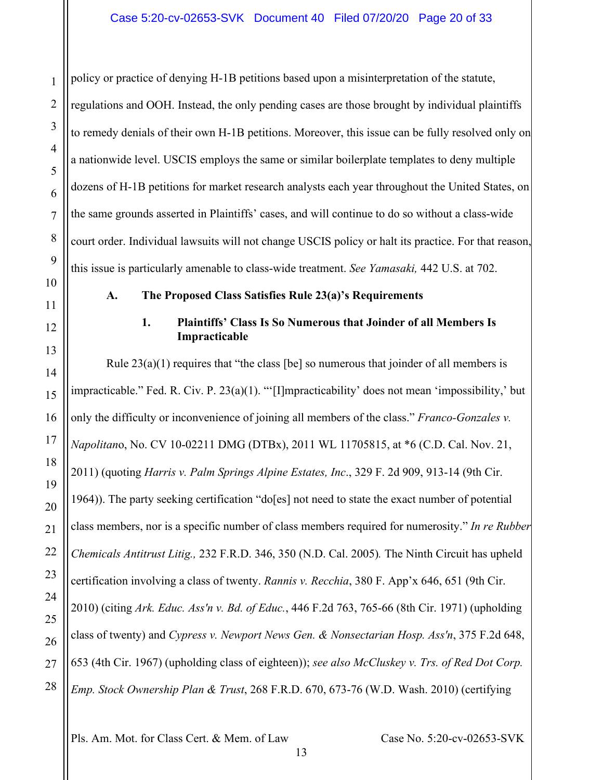policy or practice of denying H-1B petitions based upon a misinterpretation of the statute, regulations and OOH. Instead, the only pending cases are those brought by individual plaintiffs to remedy denials of their own H-1B petitions. Moreover, this issue can be fully resolved only on a nationwide level. USCIS employs the same or similar boilerplate templates to deny multiple dozens of H-1B petitions for market research analysts each year throughout the United States, on the same grounds asserted in Plaintiffs' cases, and will continue to do so without a class-wide court order. Individual lawsuits will not change USCIS policy or halt its practice. For that reason, this issue is particularly amenable to class-wide treatment. *See Yamasaki,* 442 U.S. at 702.

<span id="page-19-0"></span>

1

2

3

4

5

6

7

8

9

10

11

<span id="page-19-1"></span>12

13

14

15

16

17

18

19

20

21

22

23

24

25

26

27

28

#### **A. The Proposed Class Satisfies Rule 23(a)'s Requirements**

### **1. Plaintiffs' Class Is So Numerous that Joinder of all Members Is Impracticable**

Rule  $23(a)(1)$  requires that "the class [be] so numerous that joinder of all members is impracticable." Fed. R. Civ. P. 23(a)(1). "'[I]mpracticability' does not mean 'impossibility,' but only the difficulty or inconvenience of joining all members of the class." *Franco-Gonzales v. Napolitan*o, No. CV 10-02211 DMG (DTBx), 2011 WL 11705815, at \*6 (C.D. Cal. Nov. 21, 2011) (quoting *Harris v. Palm Springs Alpine Estates, Inc*., 329 F. 2d 909, 913-14 (9th Cir. 1964)). The party seeking certification "do[es] not need to state the exact number of potential class members, nor is a specific number of class members required for numerosity." *In re Rubber Chemicals Antitrust Litig.,* 232 F.R.D. 346, 350 (N.D. Cal. 2005)*.* The Ninth Circuit has upheld certification involving a class of twenty. *Rannis v. Recchia*, 380 F. App'x 646, 651 (9th Cir. 2010) (citing *Ark. Educ. Ass'n v. Bd. of Educ.*, 446 F.2d 763, 765-66 (8th Cir. 1971) (upholding class of twenty) and *Cypress v. Newport News Gen. & Nonsectarian Hosp. Ass'n*, 375 F.2d 648, 653 (4th Cir. 1967) (upholding class of eighteen)); *see also McCluskey v. Trs. of Red Dot Corp. Emp. Stock Ownership Plan & Trust*, 268 F.R.D. 670, 673-76 (W.D. Wash. 2010) (certifying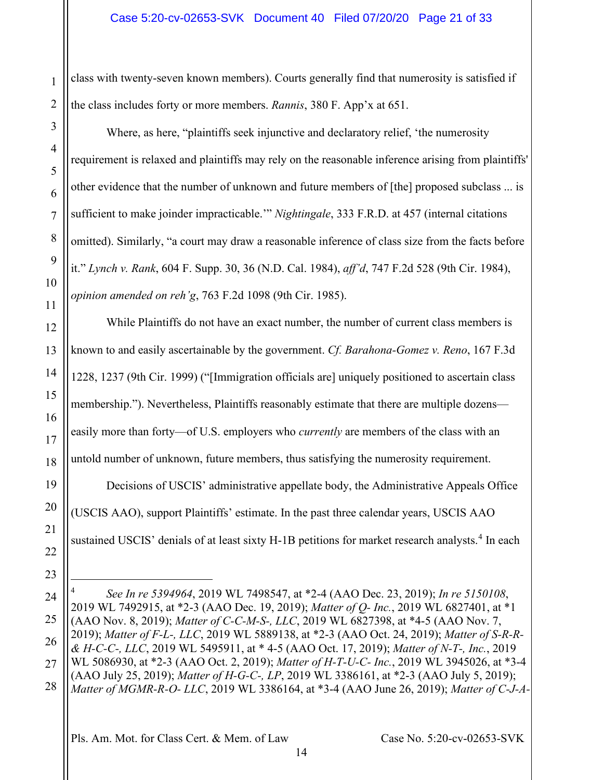class with twenty-seven known members). Courts generally find that numerosity is satisfied if the class includes forty or more members. *Rannis*, 380 F. App'x at 651.

Where, as here, "plaintiffs seek injunctive and declaratory relief, 'the numerosity requirement is relaxed and plaintiffs may rely on the reasonable inference arising from plaintiffs' other evidence that the number of unknown and future members of [the] proposed subclass ... is sufficient to make joinder impracticable.'" *Nightingale*, 333 F.R.D. at 457 (internal citations omitted). Similarly, "a court may draw a reasonable inference of class size from the facts before it." *Lynch v. Rank*, 604 F. Supp. 30, 36 (N.D. Cal. 1984), *aff'd*, 747 F.2d 528 (9th Cir. 1984), *opinion amended on reh'g*, 763 F.2d 1098 (9th Cir. 1985).

While Plaintiffs do not have an exact number, the number of current class members is known to and easily ascertainable by the government. *Cf. Barahona-Gomez v. Reno*, 167 F.3d 1228, 1237 (9th Cir. 1999) ("[Immigration officials are] uniquely positioned to ascertain class membership."). Nevertheless, Plaintiffs reasonably estimate that there are multiple dozens easily more than forty—of U.S. employers who *currently* are members of the class with an untold number of unknown, future members, thus satisfying the numerosity requirement.

Decisions of USCIS' administrative appellate body, the Administrative Appeals Office (USCIS AAO), support Plaintiffs' estimate. In the past three calendar years, USCIS AAO sustained USCIS' denials of at least sixty H-1B petitions for market research analysts. [4](#page-20-0) In each

<span id="page-20-0"></span>4 *See In re 5394964*, 2019 WL 7498547, at \*2-4 (AAO Dec. 23, 2019); *In re 5150108*, 2019 WL 7492915, at \*2-3 (AAO Dec. 19, 2019); *Matter of Q- Inc.*, 2019 WL 6827401, at \*1 (AAO Nov. 8, 2019); *Matter of C-C-M-S-, LLC*, 2019 WL 6827398, at \*4-5 (AAO Nov. 7, 2019); *Matter of F-L-, LLC*, 2019 WL 5889138, at \*2-3 (AAO Oct. 24, 2019); *Matter of S-R-R- & H-C-C-, LLC*, 2019 WL 5495911, at \* 4-5 (AAO Oct. 17, 2019); *Matter of N-T-, Inc.*, 2019 WL 5086930, at \*2-3 (AAO Oct. 2, 2019); *Matter of H-T-U-C- Inc.*, 2019 WL 3945026, at \*3-4 (AAO July 25, 2019); *Matter of H-G-C-, LP*, 2019 WL 3386161, at \*2-3 (AAO July 5, 2019); *Matter of MGMR-R-O- LLC*, 2019 WL 3386164, at \*3-4 (AAO June 26, 2019); *Matter of C-J-A-*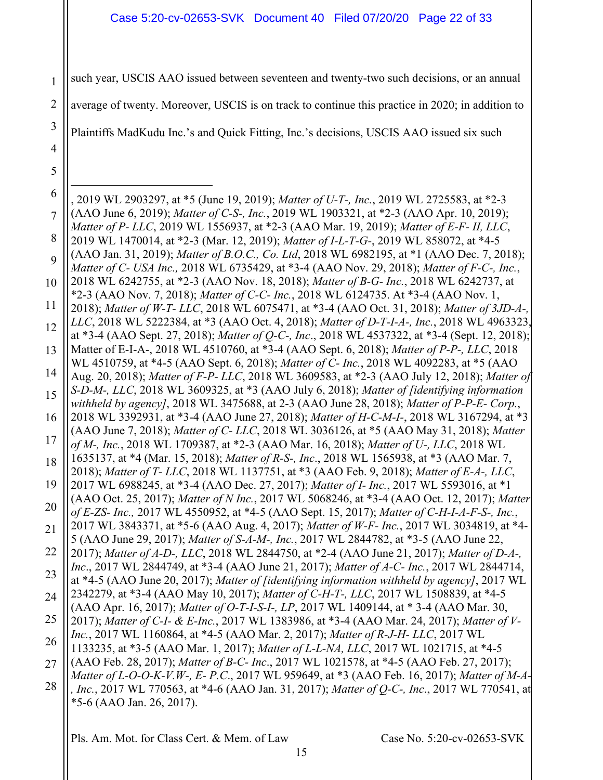#### Case 5:20-cv-02653-SVK Document 40 Filed 07/20/20 Page 22 of 33

1 such year, USCIS AAO issued between seventeen and twenty-two such decisions, or an annual

2 average of twenty. Moreover, USCIS is on track to continue this practice in 2020; in addition to

Plaintiffs MadKudu Inc.'s and Quick Fitting, Inc.'s decisions, USCIS AAO issued six such

3

4

5

6 7 8 9 10 11 12 13 14 15 16 17 18 19 20 21 22 23 24 25 26 27 28 , 2019 WL 2903297, at \*5 (June 19, 2019); *Matter of U-T-, Inc.*, 2019 WL 2725583, at \*2-3 (AAO June 6, 2019); *Matter of C-S-, Inc.*, 2019 WL 1903321, at \*2-3 (AAO Apr. 10, 2019); *Matter of P- LLC*, 2019 WL 1556937, at \*2-3 (AAO Mar. 19, 2019); *Matter of E-F- II, LLC*, 2019 WL 1470014, at \*2-3 (Mar. 12, 2019); *Matter of I-L-T-G-*, 2019 WL 858072, at \*4-5 (AAO Jan. 31, 2019); *Matter of B.O.C., Co. Ltd*, 2018 WL 6982195, at \*1 (AAO Dec. 7, 2018); *Matter of C- USA Inc.,* 2018 WL 6735429, at \*3-4 (AAO Nov. 29, 2018); *Matter of F-C-, Inc.*, 2018 WL 6242755, at \*2-3 (AAO Nov. 18, 2018); *Matter of B-G- Inc.*, 2018 WL 6242737, at \*2-3 (AAO Nov. 7, 2018); *Matter of C-C- Inc.*, 2018 WL 6124735. At \*3-4 (AAO Nov. 1, 2018); *Matter of W-T- LLC*, 2018 WL 6075471, at \*3-4 (AAO Oct. 31, 2018); *Matter of 3JD-A-, LLC*, 2018 WL 5222384, at \*3 (AAO Oct. 4, 2018); *Matter of D-T-I-A-, Inc.*, 2018 WL 4963323, at \*3-4 (AAO Sept. 27, 2018); *Matter of Q-C-, Inc*., 2018 WL 4537322, at \*3-4 (Sept. 12, 2018); Matter of E-I-A-, 2018 WL 4510760, at \*3-4 (AAO Sept. 6, 2018); *Matter of P-P-, LLC*, 2018 WL 4510759, at \*4-5 (AAO Sept. 6, 2018); *Matter of C- Inc.*, 2018 WL 4092283, at \*5 (AAO Aug. 20, 2018); *Matter of F-P- LLC*, 2018 WL 3609583, at \*2-3 (AAO July 12, 2018); *Matter of S-D-M-, LLC*, 2018 WL 3609325, at \*3 (AAO July 6, 2018); *Matter of [identifying information withheld by agency]*, 2018 WL 3475688, at 2-3 (AAO June 28, 2018); *Matter of P-P-E- Corp.*, 2018 WL 3392931, at \*3-4 (AAO June 27, 2018); *Matter of H-C-M-I-*, 2018 WL 3167294, at \*3 (AAO June 7, 2018); *Matter of C- LLC*, 2018 WL 3036126, at \*5 (AAO May 31, 2018); *Matter of M-, Inc.*, 2018 WL 1709387, at \*2-3 (AAO Mar. 16, 2018); *Matter of U-, LLC*, 2018 WL 1635137, at \*4 (Mar. 15, 2018); *Matter of R-S-, Inc*., 2018 WL 1565938, at \*3 (AAO Mar. 7, 2018); *Matter of T- LLC*, 2018 WL 1137751, at \*3 (AAO Feb. 9, 2018); *Matter of E-A-, LLC*, 2017 WL 6988245, at \*3-4 (AAO Dec. 27, 2017); *Matter of I- Inc.*, 2017 WL 5593016, at \*1 (AAO Oct. 25, 2017); *Matter of N Inc.*, 2017 WL 5068246, at \*3-4 (AAO Oct. 12, 2017); *Matter of E-ZS- Inc.,* 2017 WL 4550952, at \*4-5 (AAO Sept. 15, 2017); *Matter of C-H-I-A-F-S-, Inc.*, 2017 WL 3843371, at \*5-6 (AAO Aug. 4, 2017); *Matter of W-F- Inc.*, 2017 WL 3034819, at \*4- 5 (AAO June 29, 2017); *Matter of S-A-M-, Inc.*, 2017 WL 2844782, at \*3-5 (AAO June 22, 2017); *Matter of A-D-, LLC*, 2018 WL 2844750, at \*2-4 (AAO June 21, 2017); *Matter of D-A-, Inc*., 2017 WL 2844749, at \*3-4 (AAO June 21, 2017); *Matter of A-C- Inc.*, 2017 WL 2844714, at \*4-5 (AAO June 20, 2017); *Matter of [identifying information withheld by agency]*, 2017 WL 2342279, at \*3-4 (AAO May 10, 2017); *Matter of C-H-T-, LLC*, 2017 WL 1508839, at \*4-5 (AAO Apr. 16, 2017); *Matter of O-T-I-S-I-, LP*, 2017 WL 1409144, at \* 3-4 (AAO Mar. 30, 2017); *Matter of C-I- & E-Inc.*, 2017 WL 1383986, at \*3-4 (AAO Mar. 24, 2017); *Matter of V-Inc.*, 2017 WL 1160864, at \*4-5 (AAO Mar. 2, 2017); *Matter of R-J-H- LLC*, 2017 WL 1133235, at \*3-5 (AAO Mar. 1, 2017); *Matter of L-L-NA, LLC*, 2017 WL 1021715, at \*4-5 (AAO Feb. 28, 2017); *Matter of B-C- Inc*., 2017 WL 1021578, at \*4-5 (AAO Feb. 27, 2017); *Matter of L-O-O-K-V.W-, E- P.C*., 2017 WL 959649, at \*3 (AAO Feb. 16, 2017); *Matter of M-A- , Inc.*, 2017 WL 770563, at \*4-6 (AAO Jan. 31, 2017); *Matter of Q-C-, Inc*., 2017 WL 770541, at \*5-6 (AAO Jan. 26, 2017).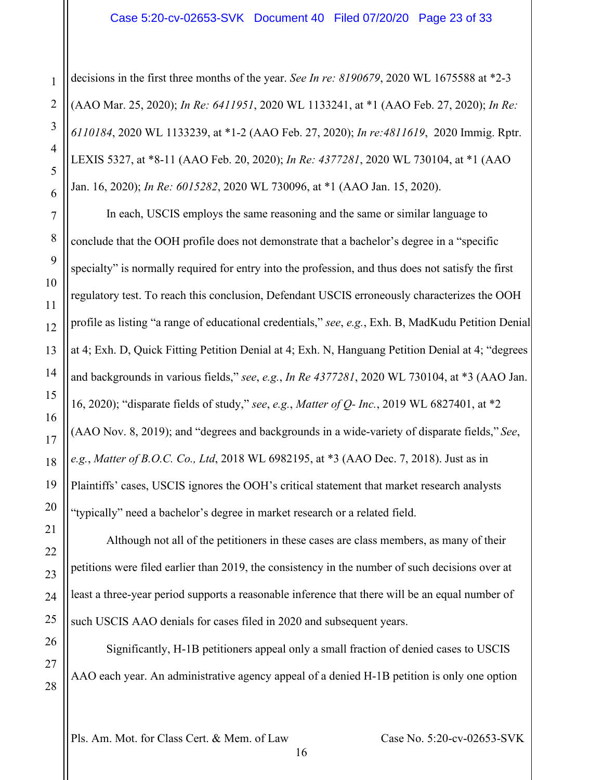#### Case 5:20-cv-02653-SVK Document 40 Filed 07/20/20 Page 23 of 33

decisions in the first three months of the year. *See In re: 8190679*, 2020 WL 1675588 at \*2-3 (AAO Mar. 25, 2020); *In Re: 6411951*, 2020 WL 1133241, at \*1 (AAO Feb. 27, 2020); *In Re: 6110184*, 2020 WL 1133239, at \*1-2 (AAO Feb. 27, 2020); *In re:4811619*, 2020 Immig. Rptr. LEXIS 5327, at \*8-11 (AAO Feb. 20, 2020); *In Re: 4377281*, 2020 WL 730104, at \*1 (AAO Jan. 16, 2020); *In Re: 6015282*, 2020 WL 730096, at \*1 (AAO Jan. 15, 2020).

In each, USCIS employs the same reasoning and the same or similar language to conclude that the OOH profile does not demonstrate that a bachelor's degree in a "specific specialty" is normally required for entry into the profession, and thus does not satisfy the first regulatory test. To reach this conclusion, Defendant USCIS erroneously characterizes the OOH profile as listing "a range of educational credentials," *see*, *e.g.*, Exh. B, MadKudu Petition Denial at 4; Exh. D, Quick Fitting Petition Denial at 4; Exh. N, Hanguang Petition Denial at 4; "degrees and backgrounds in various fields," *see*, *e.g.*, *In Re 4377281*, 2020 WL 730104, at \*3 (AAO Jan. 16, 2020); "disparate fields of study," *see*, *e.g.*, *Matter of Q- Inc.*, 2019 WL 6827401, at \*2 (AAO Nov. 8, 2019); and "degrees and backgrounds in a wide-variety of disparate fields," *See*, *e.g.*, *Matter of B.O.C. Co., Ltd*, 2018 WL 6982195, at \*3 (AAO Dec. 7, 2018). Just as in Plaintiffs' cases, USCIS ignores the OOH's critical statement that market research analysts "typically" need a bachelor's degree in market research or a related field.

Although not all of the petitioners in these cases are class members, as many of their petitions were filed earlier than 2019, the consistency in the number of such decisions over at least a three-year period supports a reasonable inference that there will be an equal number of such USCIS AAO denials for cases filed in 2020 and subsequent years.

Significantly, H-1B petitioners appeal only a small fraction of denied cases to USCIS AAO each year. An administrative agency appeal of a denied H-1B petition is only one option

16

Pls. Am. Mot. for Class Cert. & Mem. of Law Case No. 5:20-cv-02653-SVK

1

2

3

4

5

6

7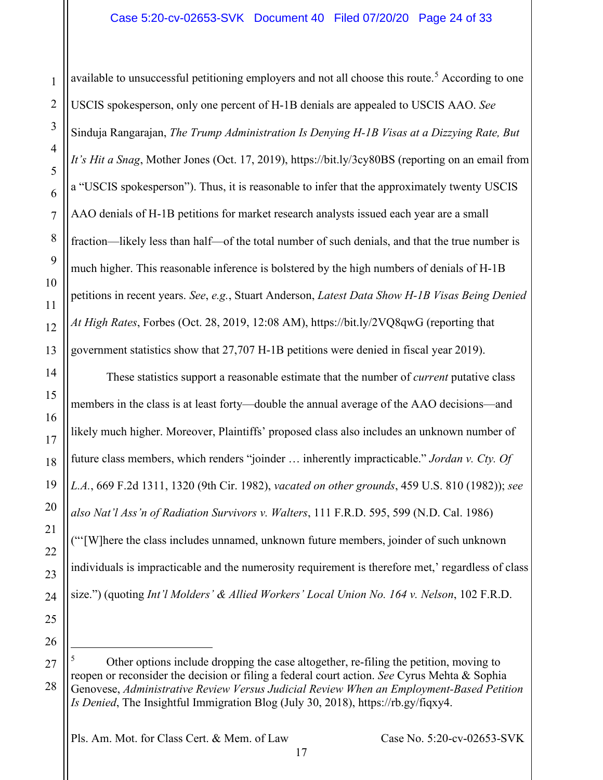available to unsuccessful petitioning employers and not all choose this route.<sup>[5](#page-23-0)</sup> According to one USCIS spokesperson, only one percent of H-1B denials are appealed to USCIS AAO. *See* Sinduja Rangarajan, *The Trump Administration Is Denying H-1B Visas at a Dizzying Rate, But It's Hit a Snag*, Mother Jones (Oct. 17, 2019), https://bit.ly/3cy80BS (reporting on an email from a "USCIS spokesperson"). Thus, it is reasonable to infer that the approximately twenty USCIS AAO denials of H-1B petitions for market research analysts issued each year are a small fraction—likely less than half—of the total number of such denials, and that the true number is much higher. This reasonable inference is bolstered by the high numbers of denials of H-1B petitions in recent years. *See*, *e.g.*, Stuart Anderson, *Latest Data Show H-1B Visas Being Denied At High Rates*, Forbes (Oct. 28, 2019, 12:08 AM), https://bit.ly/2VQ8qwG (reporting that government statistics show that 27,707 H-1B petitions were denied in fiscal year 2019).

These statistics support a reasonable estimate that the number of *current* putative class members in the class is at least forty—double the annual average of the AAO decisions—and likely much higher. Moreover, Plaintiffs' proposed class also includes an unknown number of future class members, which renders "joinder … inherently impracticable." *Jordan v. Cty. Of L.A.*, 669 F.2d 1311, 1320 (9th Cir. 1982), *vacated on other grounds*, 459 U.S. 810 (1982)); *see also Nat'l Ass'n of Radiation Survivors v. Walters*, 111 F.R.D. 595, 599 (N.D. Cal. 1986) ("'[W]here the class includes unnamed, unknown future members, joinder of such unknown individuals is impracticable and the numerosity requirement is therefore met,' regardless of class size.") (quoting *Int'l Molders' & Allied Workers' Local Union No. 164 v. Nelson*, 102 F.R.D.

26

<span id="page-23-0"></span>27

28

1

2

3

4

5

6

7

8

9

10

11

12

13

14

15

16

17

18

19

20

21

22

23

24

25

<sup>5</sup> Other options include dropping the case altogether, re-filing the petition, moving to reopen or reconsider the decision or filing a federal court action. *See* Cyrus Mehta & Sophia Genovese, *Administrative Review Versus Judicial Review When an Employment-Based Petition Is Denied*, The Insightful Immigration Blog (July 30, 2018), https://rb.gy/fiqxy4.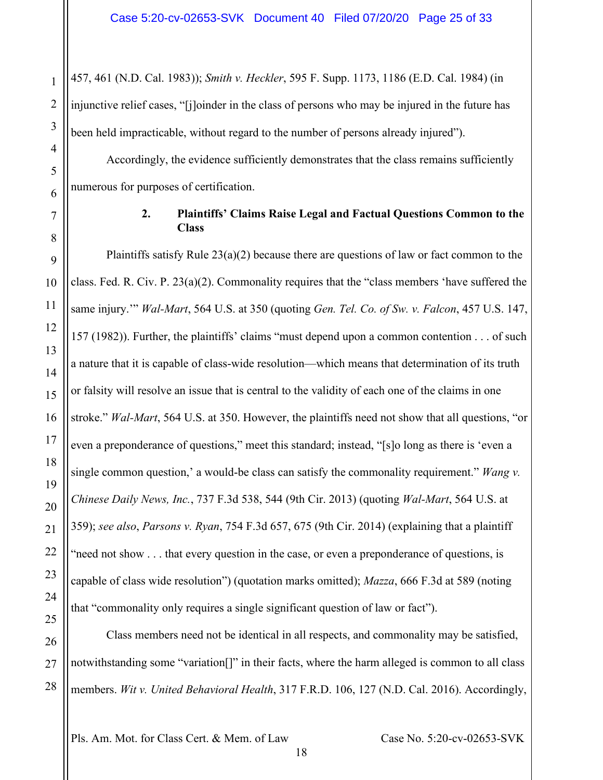457, 461 (N.D. Cal. 1983)); *Smith v. Heckler*, 595 F. Supp. 1173, 1186 (E.D. Cal. 1984) (in injunctive relief cases, "[j]oinder in the class of persons who may be injured in the future has been held impracticable, without regard to the number of persons already injured").

1

2

3

4

5

6

<span id="page-24-0"></span>7

8

9

10

11

12

13

14

15

16

17

18

19

20

21

22

23

24

25

26

27

28

Accordingly, the evidence sufficiently demonstrates that the class remains sufficiently numerous for purposes of certification.

### **2. Plaintiffs' Claims Raise Legal and Factual Questions Common to the Class**

Plaintiffs satisfy Rule  $23(a)(2)$  because there are questions of law or fact common to the class. Fed. R. Civ. P. 23(a)(2). Commonality requires that the "class members 'have suffered the same injury.'" *Wal-Mart*, 564 U.S. at 350 (quoting *Gen. Tel. Co. of Sw. v. Falcon*, 457 U.S. 147, 157 (1982)). Further, the plaintiffs' claims "must depend upon a common contention . . . of such a nature that it is capable of class-wide resolution—which means that determination of its truth or falsity will resolve an issue that is central to the validity of each one of the claims in one stroke." *Wal-Mart*, 564 U.S. at 350. However, the plaintiffs need not show that all questions, "or even a preponderance of questions," meet this standard; instead, "[s]o long as there is 'even a single common question,' a would-be class can satisfy the commonality requirement." *Wang v. Chinese Daily News, Inc.*, 737 F.3d 538, 544 (9th Cir. 2013) (quoting *Wal-Mart*, 564 U.S. at 359); *see also*, *Parsons v. Ryan*, 754 F.3d 657, 675 (9th Cir. 2014) (explaining that a plaintiff "need not show . . . that every question in the case, or even a preponderance of questions, is capable of class wide resolution") (quotation marks omitted); *Mazza*, 666 F.3d at 589 (noting that "commonality only requires a single significant question of law or fact").

Class members need not be identical in all respects, and commonality may be satisfied, notwithstanding some "variation[]" in their facts, where the harm alleged is common to all class members. *Wit v. United Behavioral Health*, 317 F.R.D. 106, 127 (N.D. Cal. 2016). Accordingly,

Pls. Am. Mot. for Class Cert. & Mem. of Law Case No. 5:20-cv-02653-SVK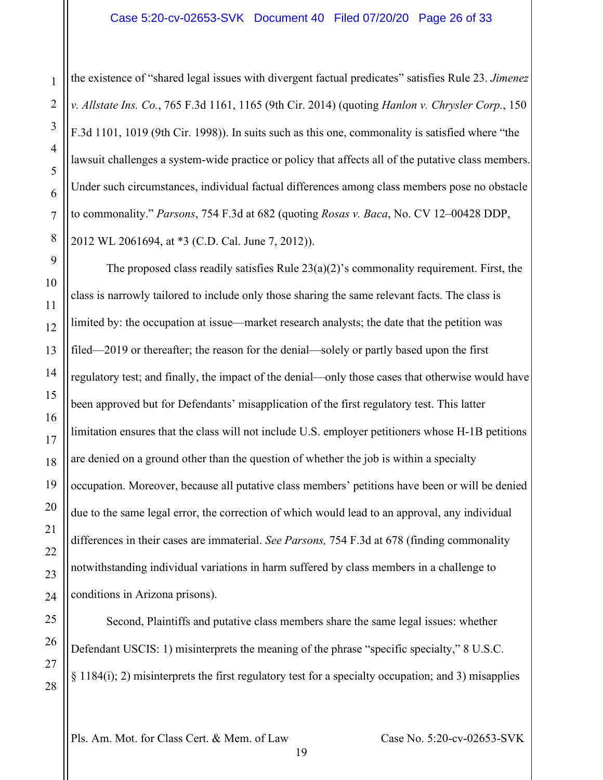the existence of "shared legal issues with divergent factual predicates" satisfies Rule 23. *Jimenez v. Allstate Ins. Co.*, 765 F.3d 1161, 1165 (9th Cir. 2014) (quoting *Hanlon v. Chrysler Corp.*, 150 F.3d 1101, 1019 (9th Cir. 1998)). In suits such as this one, commonality is satisfied where "the lawsuit challenges a system-wide practice or policy that affects all of the putative class members. Under such circumstances, individual factual differences among class members pose no obstacle to commonality." *Parsons*, 754 F.3d at 682 (quoting *Rosas v. Baca*, No. CV 12–00428 DDP, 2012 WL 2061694, at \*3 (C.D. Cal. June 7, 2012)).

The proposed class readily satisfies Rule  $23(a)(2)$ 's commonality requirement. First, the class is narrowly tailored to include only those sharing the same relevant facts. The class is limited by: the occupation at issue—market research analysts; the date that the petition was filed—2019 or thereafter; the reason for the denial—solely or partly based upon the first regulatory test; and finally, the impact of the denial—only those cases that otherwise would have been approved but for Defendants' misapplication of the first regulatory test. This latter limitation ensures that the class will not include U.S. employer petitioners whose H-1B petitions are denied on a ground other than the question of whether the job is within a specialty occupation. Moreover, because all putative class members' petitions have been or will be denied due to the same legal error, the correction of which would lead to an approval, any individual differences in their cases are immaterial. *See Parsons,* 754 F.3d at 678 (finding commonality notwithstanding individual variations in harm suffered by class members in a challenge to conditions in Arizona prisons).

Second, Plaintiffs and putative class members share the same legal issues: whether Defendant USCIS: 1) misinterprets the meaning of the phrase "specific specialty," 8 U.S.C.  $\S$  1184(i); 2) misinterprets the first regulatory test for a specialty occupation; and 3) misapplies

Pls. Am. Mot. for Class Cert. & Mem. of Law Case No. 5:20-cv-02653-SVK

1

2

3

4

5

6

7

8

9

10

11

12

13

14

15

16

17

18

19

20

21

22

23

24

25

26

27

28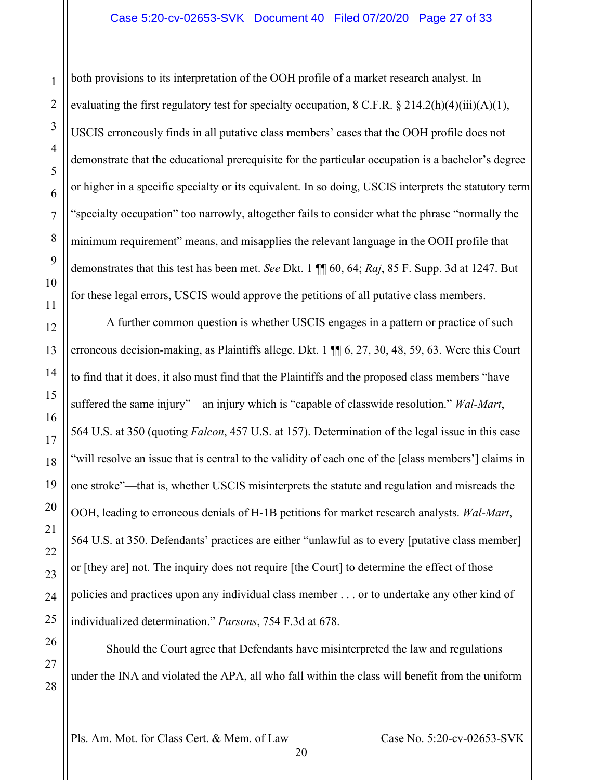#### Case 5:20-cv-02653-SVK Document 40 Filed 07/20/20 Page 27 of 33

both provisions to its interpretation of the OOH profile of a market research analyst. In evaluating the first regulatory test for specialty occupation,  $8 \text{ C.F.R.} \$  $214.2(h)(4)(iii)(A)(1)$ , USCIS erroneously finds in all putative class members' cases that the OOH profile does not demonstrate that the educational prerequisite for the particular occupation is a bachelor's degree or higher in a specific specialty or its equivalent. In so doing, USCIS interprets the statutory term "specialty occupation" too narrowly, altogether fails to consider what the phrase "normally the minimum requirement" means, and misapplies the relevant language in the OOH profile that demonstrates that this test has been met. *See* Dkt. 1 ¶¶ 60, 64; *Raj*, 85 F. Supp. 3d at 1247. But for these legal errors, USCIS would approve the petitions of all putative class members.

A further common question is whether USCIS engages in a pattern or practice of such erroneous decision-making, as Plaintiffs allege. Dkt. 1 ¶¶ 6, 27, 30, 48, 59, 63. Were this Court to find that it does, it also must find that the Plaintiffs and the proposed class members "have suffered the same injury"—an injury which is "capable of classwide resolution." *Wal-Mart*, 564 U.S. at 350 (quoting *Falcon*, 457 U.S. at 157). Determination of the legal issue in this case "will resolve an issue that is central to the validity of each one of the [class members'] claims in one stroke"—that is, whether USCIS misinterprets the statute and regulation and misreads the OOH, leading to erroneous denials of H-1B petitions for market research analysts. *Wal-Mart*, 564 U.S. at 350. Defendants' practices are either "unlawful as to every [putative class member] or [they are] not. The inquiry does not require [the Court] to determine the effect of those policies and practices upon any individual class member . . . or to undertake any other kind of individualized determination." *Parsons*, 754 F.3d at 678.

Should the Court agree that Defendants have misinterpreted the law and regulations under the INA and violated the APA, all who fall within the class will benefit from the uniform

20

Pls. Am. Mot. for Class Cert. & Mem. of Law Case No. 5:20-cv-02653-SVK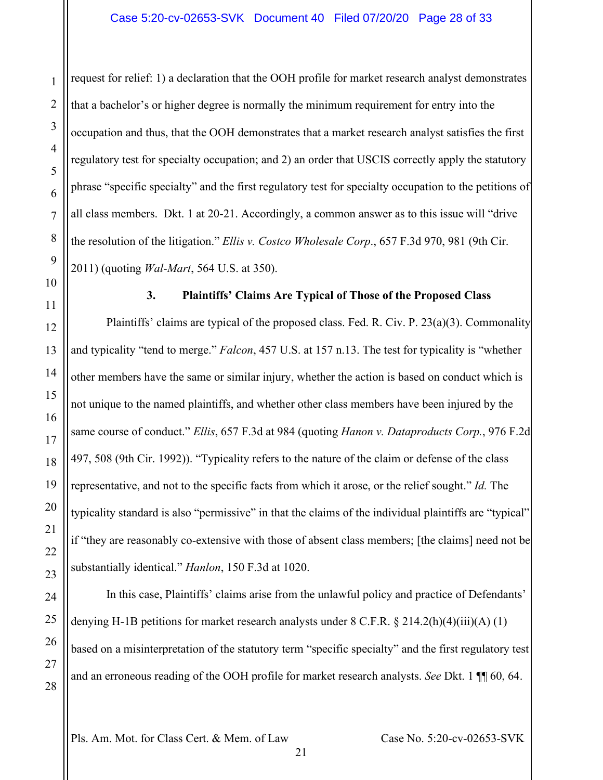request for relief: 1) a declaration that the OOH profile for market research analyst demonstrates that a bachelor's or higher degree is normally the minimum requirement for entry into the occupation and thus, that the OOH demonstrates that a market research analyst satisfies the first regulatory test for specialty occupation; and 2) an order that USCIS correctly apply the statutory phrase "specific specialty" and the first regulatory test for specialty occupation to the petitions of all class members. Dkt. 1 at 20-21. Accordingly, a common answer as to this issue will "drive the resolution of the litigation." *Ellis v. Costco Wholesale Corp*., 657 F.3d 970, 981 (9th Cir. 2011) (quoting *Wal-Mart*, 564 U.S. at 350).

1

2

3

4

5

6

7

8

9

<span id="page-27-0"></span>10

11

12

13

14

15

16

17

18

19

20

21

22

23

24

25

26

27

28

#### **3. Plaintiffs' Claims Are Typical of Those of the Proposed Class**

Plaintiffs' claims are typical of the proposed class. Fed. R. Civ. P. 23(a)(3). Commonality and typicality "tend to merge." *Falcon*, 457 U.S. at 157 n.13. The test for typicality is "whether other members have the same or similar injury, whether the action is based on conduct which is not unique to the named plaintiffs, and whether other class members have been injured by the same course of conduct." *Ellis*, 657 F.3d at 984 (quoting *Hanon v. Dataproducts Corp.*, 976 F.2d 497, 508 (9th Cir. 1992)). "Typicality refers to the nature of the claim or defense of the class representative, and not to the specific facts from which it arose, or the relief sought." *Id.* The typicality standard is also "permissive" in that the claims of the individual plaintiffs are "typical" if "they are reasonably co-extensive with those of absent class members; [the claims] need not be substantially identical." *Hanlon*, 150 F.3d at 1020.

In this case, Plaintiffs' claims arise from the unlawful policy and practice of Defendants' denying H-1B petitions for market research analysts under  $8 \text{ C.F.R. } §$  214.2(h)(4)(iii)(A) (1) based on a misinterpretation of the statutory term "specific specialty" and the first regulatory test and an erroneous reading of the OOH profile for market research analysts. *See* Dkt. 1 ¶¶ 60, 64.

Pls. Am. Mot. for Class Cert. & Mem. of Law Case No. 5:20-cv-02653-SVK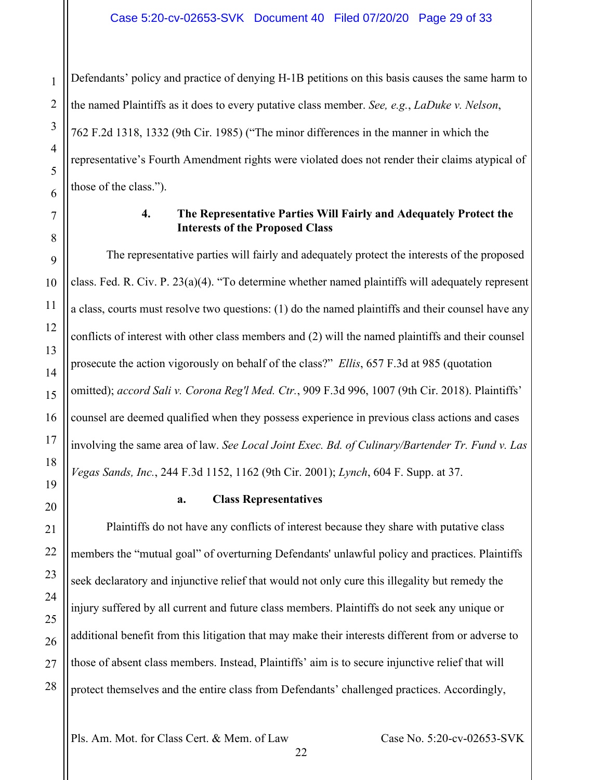Defendants' policy and practice of denying H-1B petitions on this basis causes the same harm to the named Plaintiffs as it does to every putative class member. *See, e.g.*, *LaDuke v. Nelson*, 762 F.2d 1318, 1332 (9th Cir. 1985) ("The minor differences in the manner in which the representative's Fourth Amendment rights were violated does not render their claims atypical of those of the class.").

### **4. The Representative Parties Will Fairly and Adequately Protect the Interests of the Proposed Class**

<span id="page-28-0"></span>The representative parties will fairly and adequately protect the interests of the proposed class. Fed. R. Civ. P. 23(a)(4). "To determine whether named plaintiffs will adequately represent a class, courts must resolve two questions: (1) do the named plaintiffs and their counsel have any conflicts of interest with other class members and (2) will the named plaintiffs and their counsel prosecute the action vigorously on behalf of the class?" *Ellis*, 657 F.3d at 985 (quotation omitted); *accord Sali v. Corona Reg'l Med. Ctr.*, 909 F.3d 996, 1007 (9th Cir. 2018). Plaintiffs' counsel are deemed qualified when they possess experience in previous class actions and cases involving the same area of law. *See Local Joint Exec. Bd. of Culinary/Bartender Tr. Fund v. Las Vegas Sands, Inc.*, 244 F.3d 1152, 1162 (9th Cir. 2001); *Lynch*, 604 F. Supp. at 37.

# **a. Class Representatives**

<span id="page-28-1"></span>Plaintiffs do not have any conflicts of interest because they share with putative class members the "mutual goal" of overturning Defendants' unlawful policy and practices. Plaintiffs seek declaratory and injunctive relief that would not only cure this illegality but remedy the injury suffered by all current and future class members. Plaintiffs do not seek any unique or additional benefit from this litigation that may make their interests different from or adverse to those of absent class members. Instead, Plaintiffs' aim is to secure injunctive relief that will protect themselves and the entire class from Defendants' challenged practices. Accordingly,

22

Pls. Am. Mot. for Class Cert. & Mem. of Law Case No. 5:20-cv-02653-SVK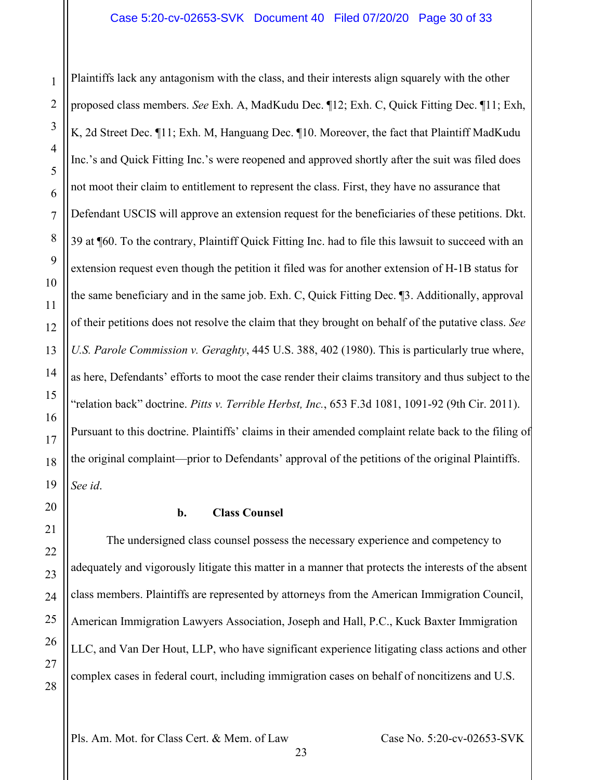Plaintiffs lack any antagonism with the class, and their interests align squarely with the other proposed class members. *See* Exh. A, MadKudu Dec. ¶12; Exh. C, Quick Fitting Dec. ¶11; Exh, K, 2d Street Dec. ¶11; Exh. M, Hanguang Dec. ¶10. Moreover, the fact that Plaintiff MadKudu Inc.'s and Quick Fitting Inc.'s were reopened and approved shortly after the suit was filed does not moot their claim to entitlement to represent the class. First, they have no assurance that Defendant USCIS will approve an extension request for the beneficiaries of these petitions. Dkt. 39 at ¶60. To the contrary, Plaintiff Quick Fitting Inc. had to file this lawsuit to succeed with an extension request even though the petition it filed was for another extension of H-1B status for the same beneficiary and in the same job. Exh. C, Quick Fitting Dec. ¶3. Additionally, approval of their petitions does not resolve the claim that they brought on behalf of the putative class. *See U.S. Parole Commission v. Geraghty*, 445 U.S. 388, 402 (1980). This is particularly true where, as here, Defendants' efforts to moot the case render their claims transitory and thus subject to the "relation back" doctrine. *Pitts v. Terrible Herbst, Inc.*, 653 F.3d 1081, 1091-92 (9th Cir. 2011). Pursuant to this doctrine. Plaintiffs' claims in their amended complaint relate back to the filing of the original complaint—prior to Defendants' approval of the petitions of the original Plaintiffs. *See id*.

1

2

3

4

5

6

7

8

9

10

11

12

13

14

15

16

17

18

19

<span id="page-29-0"></span>20

21

22

23

24

25

26

27

28

#### **b. Class Counsel**

The undersigned class counsel possess the necessary experience and competency to adequately and vigorously litigate this matter in a manner that protects the interests of the absent class members. Plaintiffs are represented by attorneys from the American Immigration Council, American Immigration Lawyers Association, Joseph and Hall, P.C., Kuck Baxter Immigration LLC, and Van Der Hout, LLP, who have significant experience litigating class actions and other complex cases in federal court, including immigration cases on behalf of noncitizens and U.S.

Pls. Am. Mot. for Class Cert. & Mem. of Law Case No. 5:20-cv-02653-SVK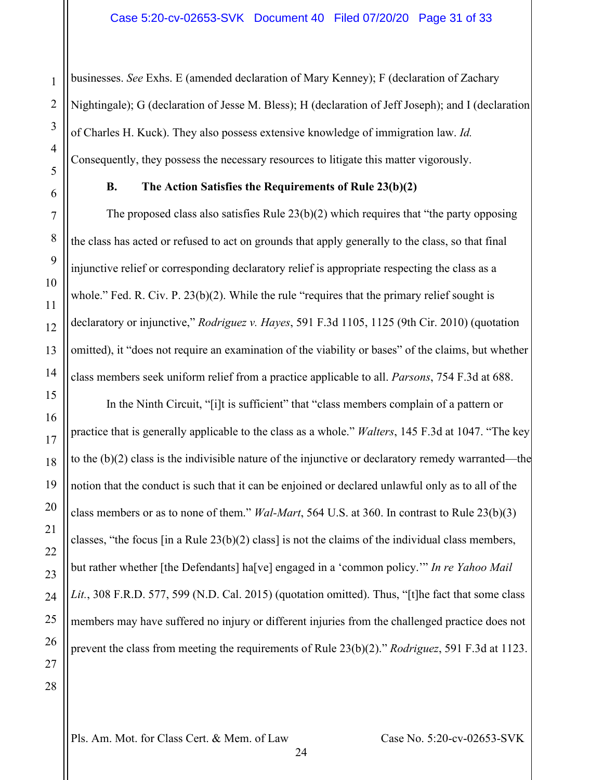businesses. *See* Exhs. E (amended declaration of Mary Kenney); F (declaration of Zachary Nightingale); G (declaration of Jesse M. Bless); H (declaration of Jeff Joseph); and I (declaration of Charles H. Kuck). They also possess extensive knowledge of immigration law. *Id.* Consequently, they possess the necessary resources to litigate this matter vigorously.

<span id="page-30-0"></span>

# **B. The Action Satisfies the Requirements of Rule 23(b)(2)**

The proposed class also satisfies Rule  $23(b)(2)$  which requires that "the party opposing" the class has acted or refused to act on grounds that apply generally to the class, so that final injunctive relief or corresponding declaratory relief is appropriate respecting the class as a whole." Fed. R. Civ. P. 23(b)(2). While the rule "requires that the primary relief sought is declaratory or injunctive," *Rodriguez v. Hayes*, 591 F.3d 1105, 1125 (9th Cir. 2010) (quotation omitted), it "does not require an examination of the viability or bases" of the claims, but whether class members seek uniform relief from a practice applicable to all. *Parsons*, 754 F.3d at 688.

In the Ninth Circuit, "[i]t is sufficient" that "class members complain of a pattern or practice that is generally applicable to the class as a whole." *Walters*, 145 F.3d at 1047. "The key to the (b)(2) class is the indivisible nature of the injunctive or declaratory remedy warranted—the notion that the conduct is such that it can be enjoined or declared unlawful only as to all of the class members or as to none of them." *Wal-Mart*, 564 U.S. at 360. In contrast to Rule 23(b)(3) classes, "the focus  $\lceil \text{in a Rule 23(b)(2)} \text{ class} \rceil$  is not the claims of the individual class members, but rather whether [the Defendants] ha[ve] engaged in a 'common policy.'" *In re Yahoo Mail Lit.*, 308 F.R.D. 577, 599 (N.D. Cal. 2015) (quotation omitted). Thus, "[t]he fact that some class members may have suffered no injury or different injuries from the challenged practice does not prevent the class from meeting the requirements of Rule 23(b)(2)." *Rodriguez*, 591 F.3d at 1123.

1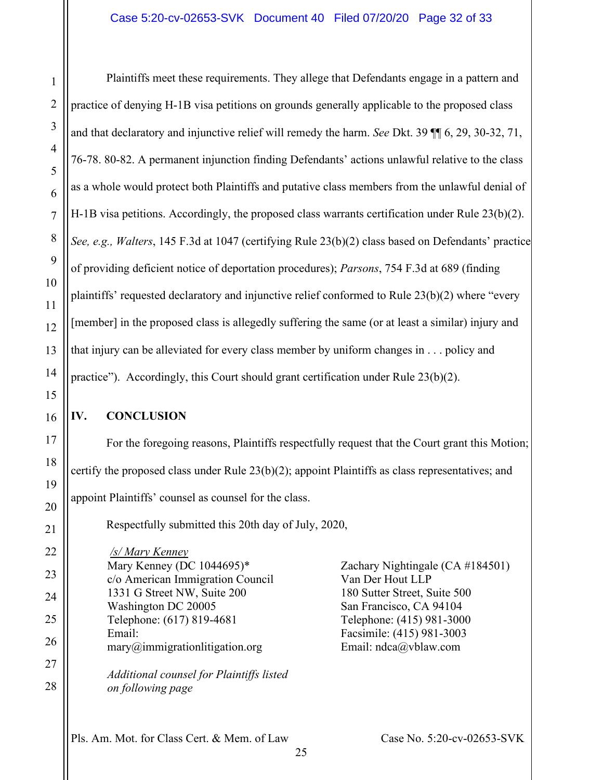Plaintiffs meet these requirements. They allege that Defendants engage in a pattern and practice of denying H-1B visa petitions on grounds generally applicable to the proposed class and that declaratory and injunctive relief will remedy the harm. *See* Dkt. 39 ¶¶ 6, 29, 30-32, 71, 76-78. 80-82. A permanent injunction finding Defendants' actions unlawful relative to the class as a whole would protect both Plaintiffs and putative class members from the unlawful denial of H-1B visa petitions. Accordingly, the proposed class warrants certification under Rule 23(b)(2). *See, e.g., Walters*, 145 F.3d at 1047 (certifying Rule 23(b)(2) class based on Defendants' practice of providing deficient notice of deportation procedures); *Parsons*, 754 F.3d at 689 (finding plaintiffs' requested declaratory and injunctive relief conformed to Rule 23(b)(2) where "every [member] in the proposed class is allegedly suffering the same (or at least a similar) injury and that injury can be alleviated for every class member by uniform changes in . . . policy and practice"). Accordingly, this Court should grant certification under Rule 23(b)(2).

# <span id="page-31-0"></span>**IV. CONCLUSION**

1

2

3

4

5

6

7

8

9

10

11

12

13

14

15

16

17

18

19

20

21

22

23

24

25

26

27

28

For the foregoing reasons, Plaintiffs respectfully request that the Court grant this Motion; certify the proposed class under Rule 23(b)(2); appoint Plaintiffs as class representatives; and appoint Plaintiffs' counsel as counsel for the class.

Respectfully submitted this 20th day of July, 2020,

*/s/ Mary Kenney* Mary Kenney (DC 1044695)\* c/o American Immigration Council 1331 G Street NW, Suite 200 Washington DC 20005 Telephone: (617) 819-4681 Email: mary@immigrationlitigation.org *Additional counsel for Plaintiffs listed* 

*on following page*

Zachary Nightingale (CA #184501) Van Der Hout LLP 180 Sutter Street, Suite 500 San Francisco, CA 94104 Telephone: (415) 981-3000 Facsimile: (415) 981-3003 Email: ndca@vblaw.com

Pls. Am. Mot. for Class Cert. & Mem. of Law Case No. 5:20-cv-02653-SVK